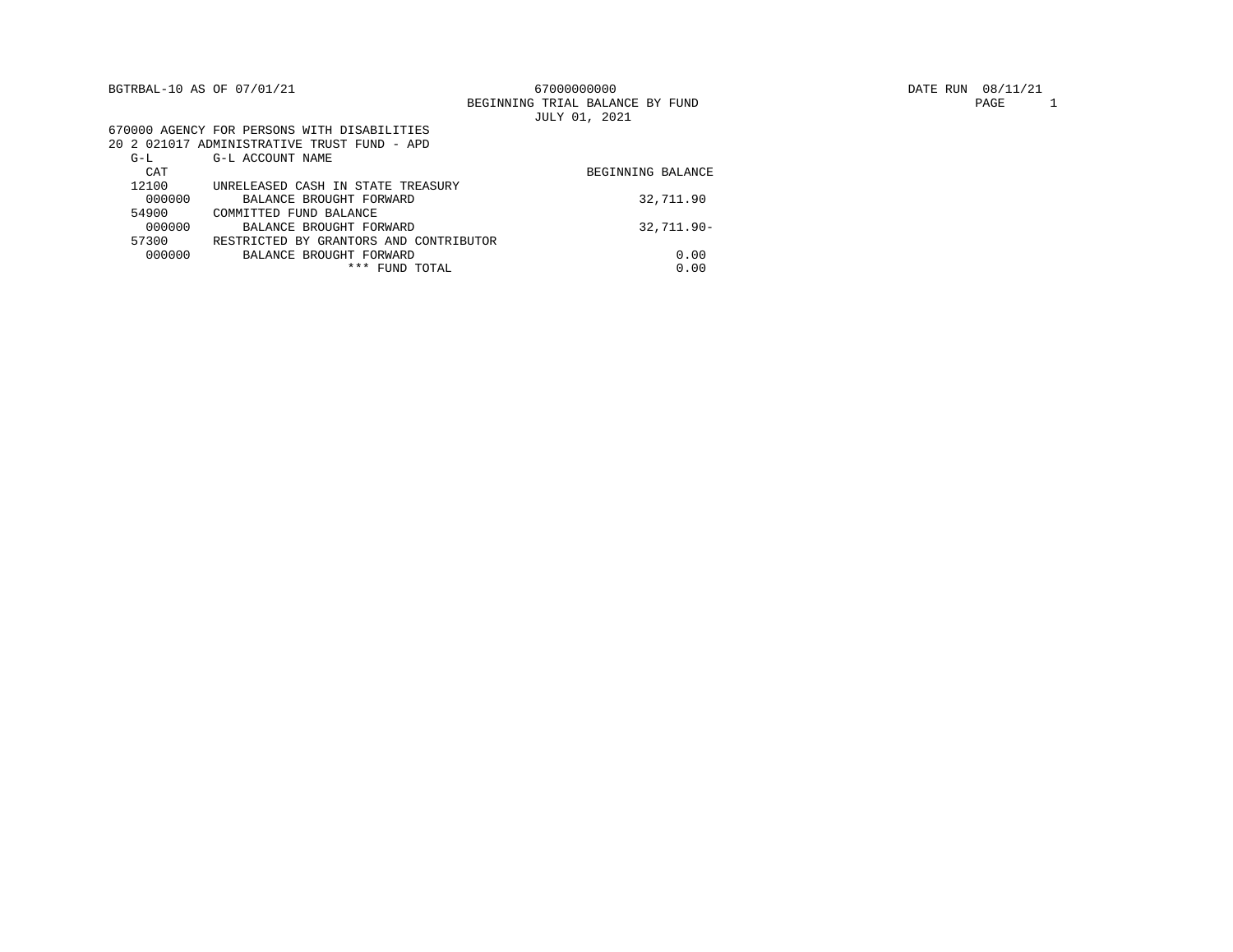| BGTRBAL-10 AS OF 07/01/21 |                                             | 67000000000<br>BEGINNING TRIAL BALANCE BY FUND | 08/11/21<br>DATE RUN<br>1<br>PAGE |
|---------------------------|---------------------------------------------|------------------------------------------------|-----------------------------------|
|                           |                                             | JULY 01, 2021                                  |                                   |
|                           | 670000 AGENCY FOR PERSONS WITH DISABILITIES |                                                |                                   |
|                           | 20 2 021017 ADMINISTRATIVE TRUST FUND - APD |                                                |                                   |
| $G-L$                     | G-L ACCOUNT NAME                            |                                                |                                   |
| CAT                       |                                             | BEGINNING BALANCE                              |                                   |
| 12100                     | UNRELEASED CASH IN STATE TREASURY           |                                                |                                   |
| 000000                    | BALANCE BROUGHT FORWARD                     | 32,711.90                                      |                                   |
| 54900                     | COMMITTED FUND BALANCE                      |                                                |                                   |
| 000000                    | BALANCE BROUGHT FORWARD                     | $32.711.90 -$                                  |                                   |
| 57300                     | RESTRICTED BY GRANTORS AND CONTRIBUTOR      |                                                |                                   |
| 000000                    | BALANCE BROUGHT FORWARD                     | 0.00                                           |                                   |
|                           | *** FUND TOTAL                              | 0.00                                           |                                   |
|                           |                                             |                                                |                                   |

PAGE 1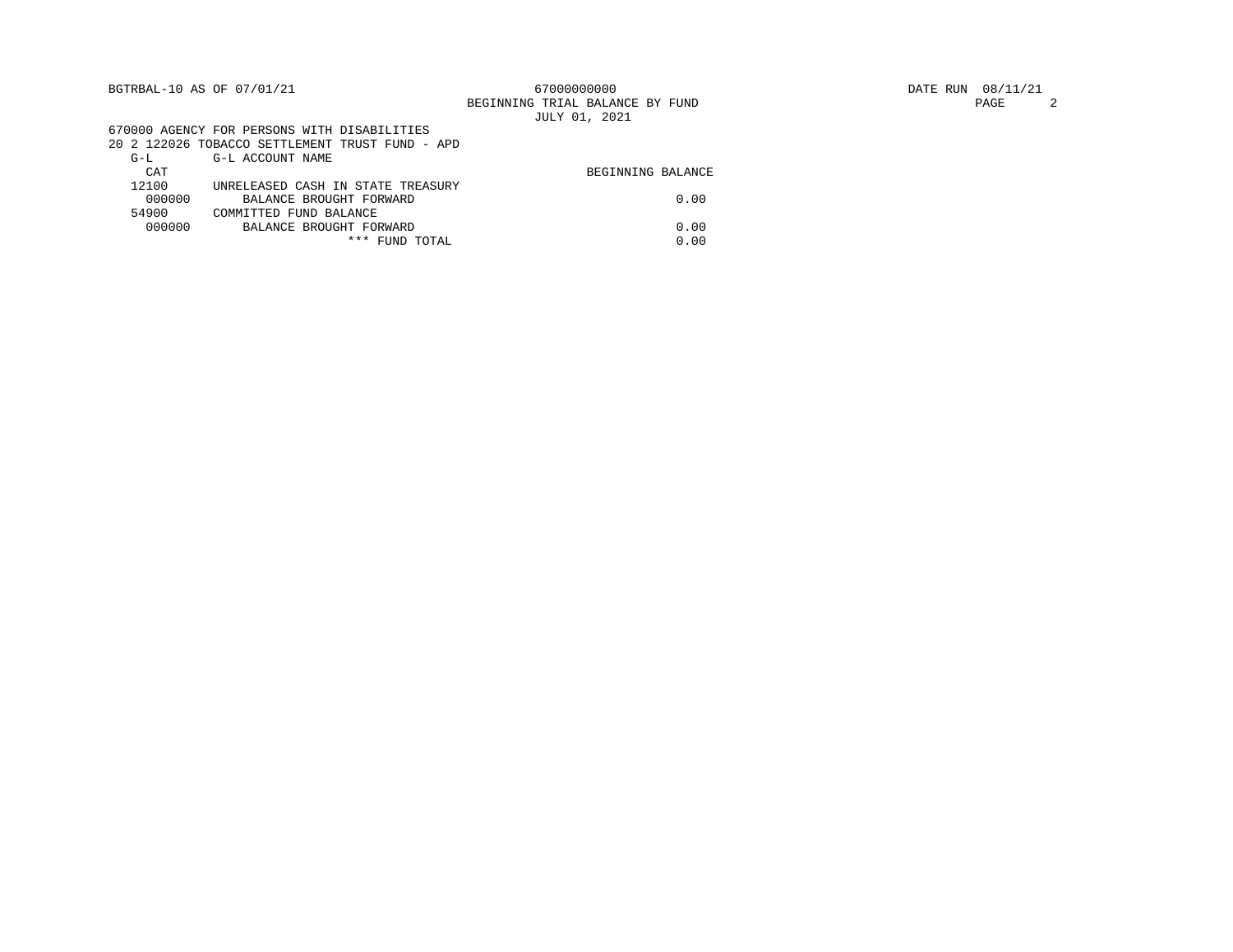|        | BGTRBAL-10 AS OF 07/01/21                       | 67000000000                     | DATE RUN 08/11/21 |
|--------|-------------------------------------------------|---------------------------------|-------------------|
|        |                                                 | BEGINNING TRIAL BALANCE BY FUND | PAGE              |
|        |                                                 | JULY 01, 2021                   |                   |
|        | 670000 AGENCY FOR PERSONS WITH DISABILITIES     |                                 |                   |
|        | 20 2 122026 TOBACCO SETTLEMENT TRUST FUND - APD |                                 |                   |
| $G-L$  | G-L ACCOUNT NAME                                |                                 |                   |
| CAT    |                                                 | BEGINNING BALANCE               |                   |
| 12100  | UNRELEASED CASH IN STATE TREASURY               |                                 |                   |
| 000000 | BALANCE BROUGHT FORWARD                         | 0.00                            |                   |
| 54900  | COMMITTED FUND BALANCE                          |                                 |                   |
| 000000 | BALANCE BROUGHT FORWARD                         | 0.00                            |                   |
|        | *** FUND TOTAL                                  | 0.00                            |                   |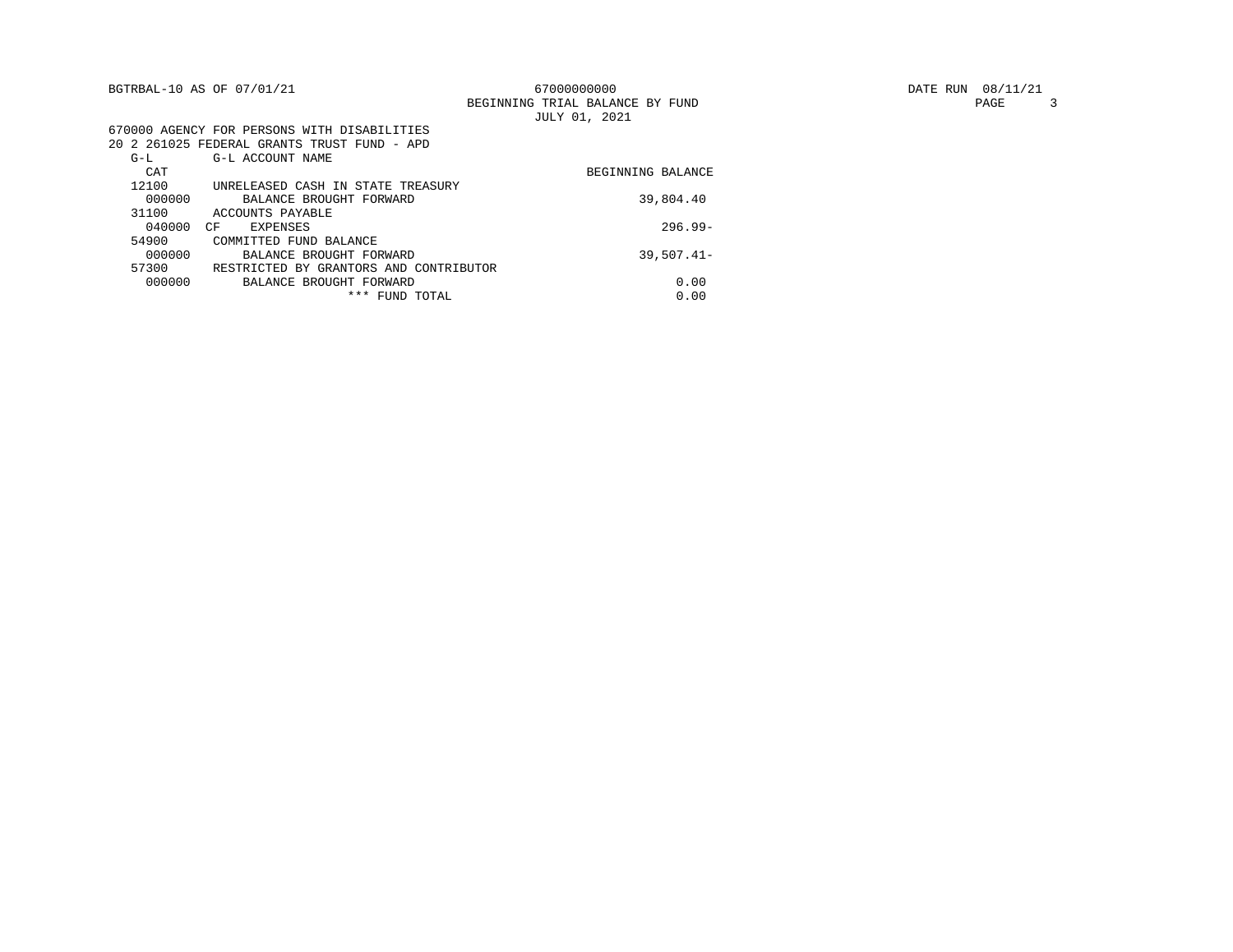|        | BGTRBAL-10 AS OF 07/01/21                   | 67000000000                     |
|--------|---------------------------------------------|---------------------------------|
|        |                                             | BEGINNING TRIAL BALANCE BY FUND |
|        |                                             | JULY 01, 2021                   |
|        | 670000 AGENCY FOR PERSONS WITH DISABILITIES |                                 |
|        | 20 2 261025 FEDERAL GRANTS TRUST FUND - APD |                                 |
| $G-L$  | G-L ACCOUNT NAME                            |                                 |
| CAT    |                                             | BEGINNING BALANCE               |
| 12100  | UNRELEASED CASH IN STATE TREASURY           |                                 |
| 000000 | BALANCE BROUGHT FORWARD                     | 39,804.40                       |
| 31100  | ACCOUNTS PAYABLE                            |                                 |
| 040000 | CF<br>EXPENSES                              | $296.99-$                       |
| 54900  | COMMITTED FUND BALANCE                      |                                 |
| 000000 | BALANCE BROUGHT FORWARD                     | $39,507.41 -$                   |
| 57300  | RESTRICTED BY GRANTORS AND CONTRIBUTOR      |                                 |
| 000000 | BALANCE BROUGHT FORWARD                     | 0.00                            |
|        | *** FUND TOTAL                              | 0.00                            |
|        |                                             |                                 |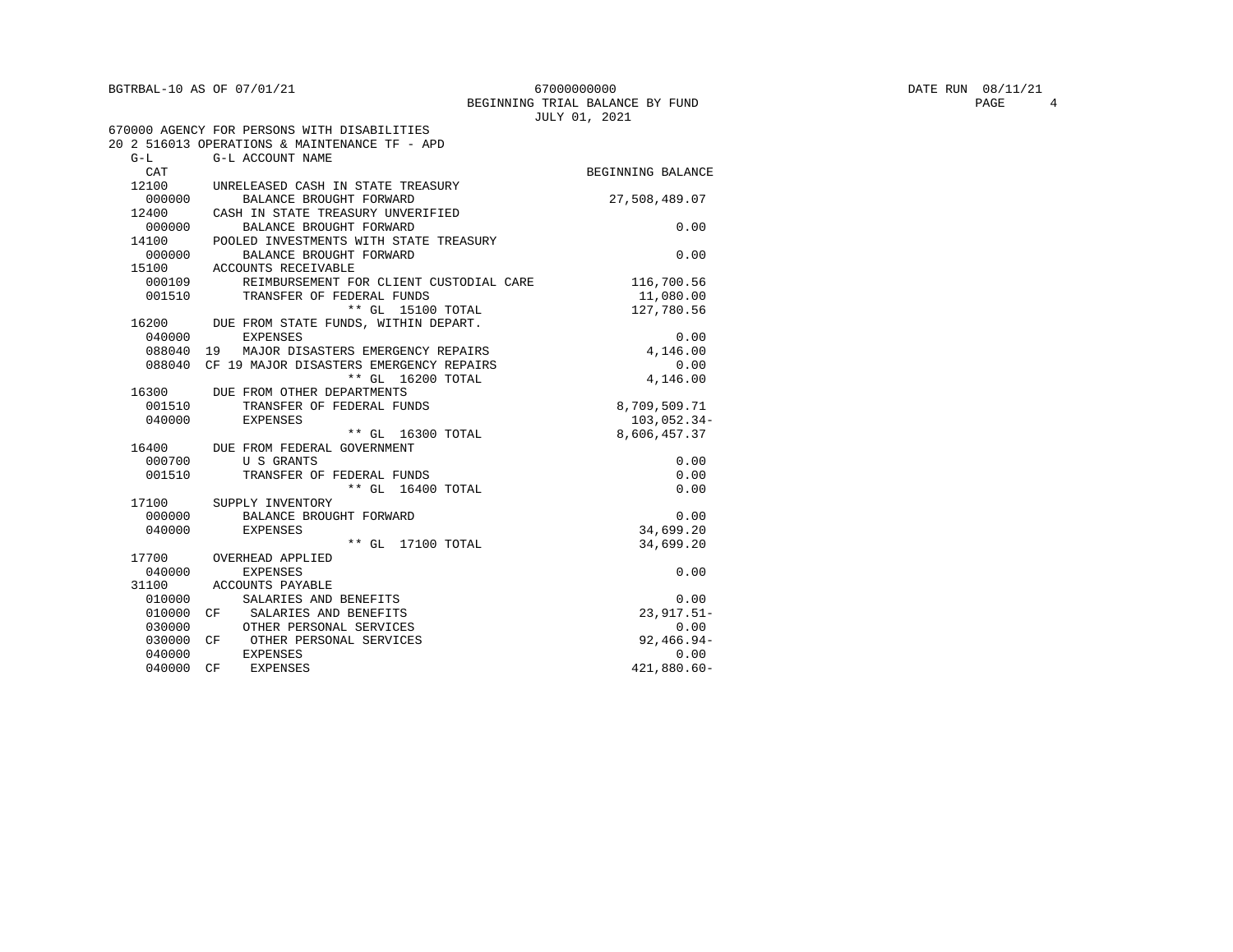| BGTRBAL-10 AS OF 07/01/21 |  |  |  |
|---------------------------|--|--|--|
|                           |  |  |  |

040000 CF EXPENSES

670000 AGENCY FOR PERSONS WITH DISABILITIES

| BGTRBAL-10 AS OF 07/01/21 | 67000000000                     | 08/11/21<br>DATE RUN |
|---------------------------|---------------------------------|----------------------|
|                           | BEGINNING TRIAL BALANCE BY FUND | PAGE                 |
|                           | JULY 01<br>, 2021               |                      |

|        | 20 2 516013 OPERATIONS & MAINTENANCE TF - APD |                   |
|--------|-----------------------------------------------|-------------------|
| $G-L$  | G-L ACCOUNT NAME                              |                   |
| CAT    |                                               | BEGINNING BALANCE |
| 12100  | UNRELEASED CASH IN STATE TREASURY             |                   |
| 000000 | BALANCE BROUGHT FORWARD                       | 27,508,489.07     |
| 12400  | CASH IN STATE TREASURY UNVERIFIED             |                   |
| 000000 | BALANCE BROUGHT FORWARD                       | 0.00              |
| 14100  | POOLED INVESTMENTS WITH STATE TREASURY        |                   |
| 000000 | BALANCE BROUGHT FORWARD                       | 0.00              |
| 15100  | ACCOUNTS RECEIVABLE                           |                   |
| 000109 | REIMBURSEMENT FOR CLIENT CUSTODIAL CARE       | 116,700.56        |
| 001510 | TRANSFER OF FEDERAL FUNDS                     | 11,080.00         |
|        | ** GL 15100 TOTAL                             | 127,780.56        |
| 16200  | DUE FROM STATE FUNDS, WITHIN DEPART.          |                   |
| 040000 | <b>EXPENSES</b>                               | 0.00              |
| 088040 | 19 MAJOR DISASTERS EMERGENCY REPAIRS          | 4,146.00          |
| 088040 | CF 19 MAJOR DISASTERS EMERGENCY REPAIRS       | 0.00              |
|        | ** GL 16200 TOTAL                             | 4,146.00          |
|        | 16300 DUE FROM OTHER DEPARTMENTS              |                   |
| 001510 | TRANSFER OF FEDERAL FUNDS                     | 8,709,509.71      |
| 040000 | EXPENSES                                      | 103,052.34-       |
|        | ** GL 16300 TOTAL                             | 8,606,457.37      |
|        | 16400 DUE FROM FEDERAL GOVERNMENT             |                   |
| 000700 | U S GRANTS                                    | 0.00              |
| 001510 | TRANSFER OF FEDERAL FUNDS                     | 0.00              |
|        | ** GL 16400 TOTAL                             | 0.00              |
|        | 17100 SUPPLY INVENTORY                        |                   |
| 000000 | BALANCE BROUGHT FORWARD                       | 0.00              |
| 040000 | EXPENSES                                      | 34,699.20         |
|        | ** GL 17100 TOTAL                             | 34,699.20         |
| 17700  | OVERHEAD APPLIED                              |                   |
| 040000 | <b>EXPENSES</b>                               | 0.00              |
| 31100  | ACCOUNTS PAYABLE                              |                   |

010000 SALARIES AND BENEFITS 0.00<br>010000 CF SALARIES AND BENEFITS 23.917.51-010000 CF SALARIES AND BENEFITS  $0.30000$  23,917.51-030000 OTHER PERSONAL SERVICES  $0.00$ 030000 OTHER PERSONAL SERVICES 0.00<br>030000 OF OTHER PERSONAL SERVICES 0.000 092,466.94-030000 CF OTHER PERSONAL SERVICES 92,466.94 040000 EXPENSES 0.00<br>040000 CF EXPENSES 421,880.60-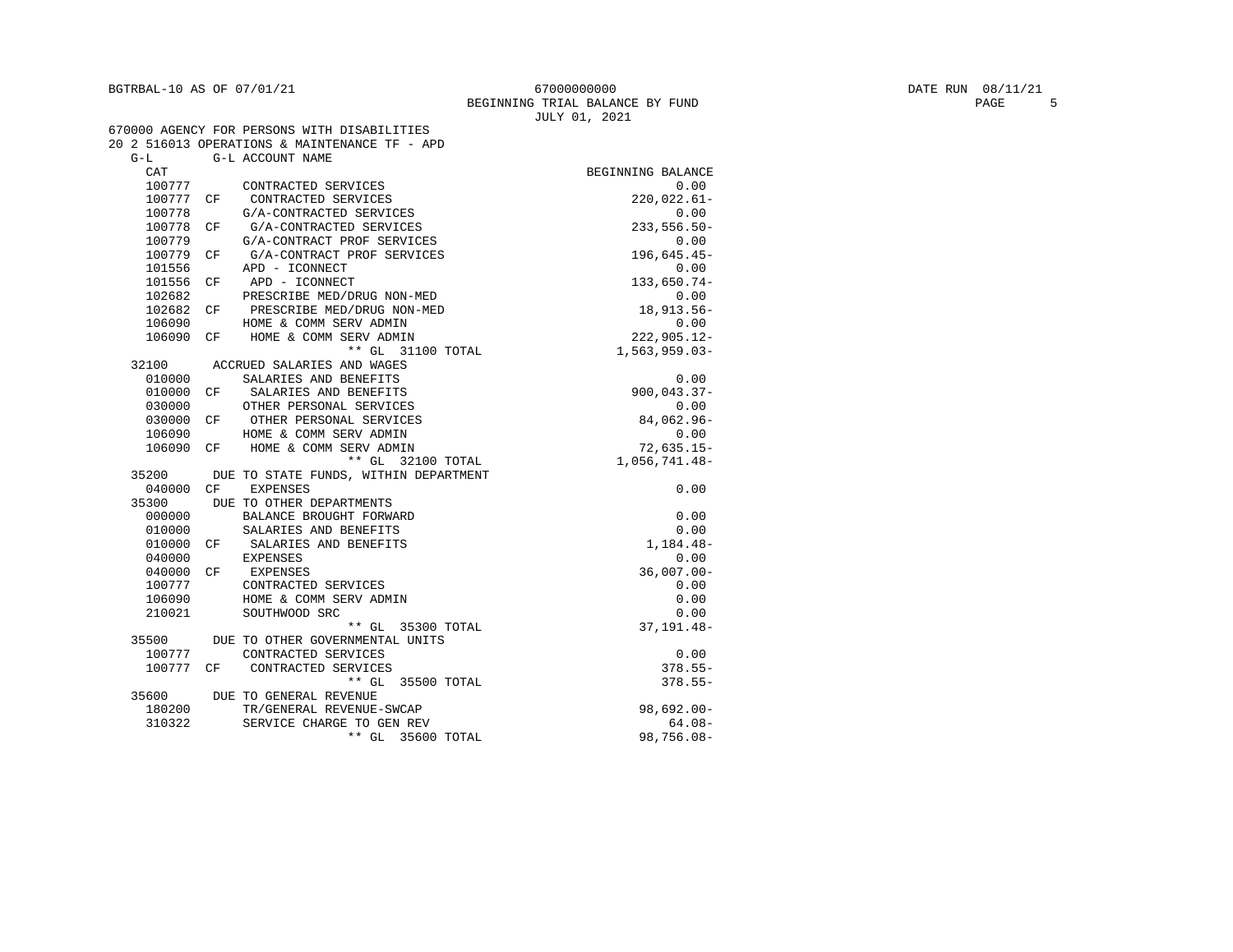| BGTRBAL-10 AS OF 07/01/21 | 67000000000                     | DATE RUN | 08/11/21 |  |
|---------------------------|---------------------------------|----------|----------|--|
|                           | BEGINNING TRIAL BALANCE BY FUND |          | PAGE     |  |
|                           | .2021<br>JULY 01                |          |          |  |

|           |     | 670000 AGENCY FOR PERSONS WITH DISABILITIES   |                   |
|-----------|-----|-----------------------------------------------|-------------------|
|           |     | 20 2 516013 OPERATIONS & MAINTENANCE TF - APD |                   |
| $G-I$     |     | G-L ACCOUNT NAME                              |                   |
| CAT       |     |                                               | BEGINNING BALANCE |
| 100777    |     | CONTRACTED SERVICES                           | 0.00              |
| 100777    | СF  | CONTRACTED SERVICES                           | $220,022.61-$     |
| 100778    |     | G/A-CONTRACTED SERVICES                       | 0.00              |
| 100778    | CF  | G/A-CONTRACTED SERVICES                       | $233,556.50 -$    |
| 100779    |     | G/A-CONTRACT PROF SERVICES                    | 0.00              |
| 100779    | CF  | G/A-CONTRACT PROF SERVICES                    | 196,645.45-       |
| 101556    |     | APD - ICONNECT                                | 0.00              |
| 101556    | CF  | APD - ICONNECT                                | 133,650.74-       |
| 102682    |     | PRESCRIBE MED/DRUG NON-MED                    | 0.00              |
| 102682    | CF  | PRESCRIBE MED/DRUG NON-MED                    | 18,913.56-        |
| 106090    |     | HOME & COMM SERV ADMIN                        | 0.00              |
| 106090    | CF. | HOME & COMM SERV ADMIN                        | $222,905.12 -$    |
|           |     | ** GL 31100 TOTAL                             | $1,563,959.03-$   |
| 32100     |     | ACCRUED SALARIES AND WAGES                    |                   |
| 010000    |     | SALARIES AND BENEFITS                         | 0.00              |
| 010000    | CF  | SALARIES AND BENEFITS                         | $900,043.37 -$    |
| 030000    |     | OTHER PERSONAL SERVICES                       | 0.00              |
| 030000    | CF. | OTHER PERSONAL SERVICES                       | 84,062.96-        |
| 106090    |     | HOME & COMM SERV ADMIN                        | 0.00              |
| 106090    |     | CF HOME & COMM SERV ADMIN                     | $72,635.15-$      |
|           |     | ** GL 32100 TOTAL                             | 1,056,741.48-     |
|           |     | 35200 DUE TO STATE FUNDS, WITHIN DEPARTMENT   |                   |
| 040000 CF |     | <b>EXPENSES</b>                               | 0.00              |
| 35300     |     | DUE TO OTHER DEPARTMENTS                      |                   |
| 000000    |     | BALANCE BROUGHT FORWARD                       | 0.00              |
| 010000    |     | SALARIES AND BENEFITS                         | 0.00              |
| 010000    | CF. | SALARIES AND BENEFITS                         | 1,184.48-         |
| 040000    |     | EXPENSES                                      | 0.00              |
| 040000 CF |     | EXPENSES                                      | $36,007.00 -$     |
| 100777    |     | CONTRACTED SERVICES                           | 0.00              |
| 106090    |     | HOME & COMM SERV ADMIN                        | 0.00              |
| 210021    |     | SOUTHWOOD SRC                                 | 0.00              |
|           |     | $***$ GL<br>35300 TOTAL                       | 37, 191.48-       |
| 35500     |     | DUE TO OTHER GOVERNMENTAL UNITS               |                   |
| 100777    |     | CONTRACTED SERVICES                           | 0.00              |
| 100777    | CF  | CONTRACTED SERVICES                           | $378.55 -$        |
|           |     | ** GL 35500 TOTAL                             | $378.55 -$        |
| 35600     |     | DUE TO GENERAL REVENUE                        |                   |
| 180200    |     | TR/GENERAL REVENUE-SWCAP                      | $98,692.00 -$     |
| 310322    |     | SERVICE CHARGE TO GEN REV                     | $64.08 -$         |
|           |     | $**$ GL<br>35600 TOTAL                        | $98,756.08 -$     |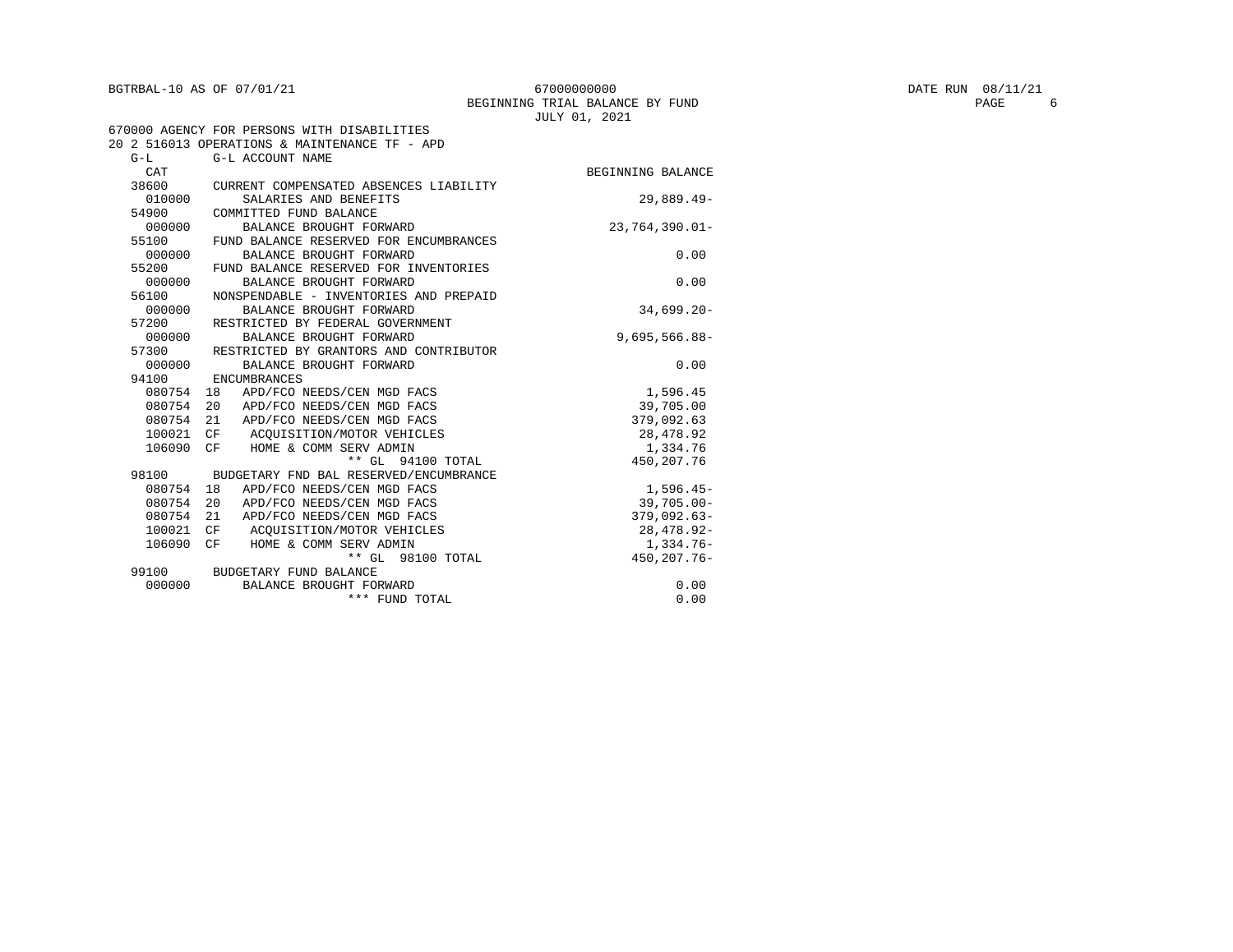| BGTRBAL-10 AS OF 07/01/21 | 67000000000                     | DATE RUN 08/11/21 |      |
|---------------------------|---------------------------------|-------------------|------|
|                           | BEGINNING TRIAL BALANCE BY FUND |                   | PAGE |
|                           | JULY 01, 2021                   |                   |      |

|            | 670000 AGENCY FOR PERSONS WITH DISABILITIES   |                   |
|------------|-----------------------------------------------|-------------------|
|            | 20 2 516013 OPERATIONS & MAINTENANCE TF - APD |                   |
| $G-T$      | G-L ACCOUNT NAME                              |                   |
| <b>CAT</b> |                                               | BEGINNING BALANCE |
| 38600      | CURRENT COMPENSATED ABSENCES LIABILITY        |                   |
| 010000     | SALARIES AND BENEFITS                         | 29,889.49-        |
| 54900      | COMMITTED FUND BALANCE                        |                   |
| 000000     | BALANCE BROUGHT FORWARD                       | $23.764.390.01 -$ |
| 55100      | FUND BALANCE RESERVED FOR ENCUMBRANCES        |                   |
| 000000     | BALANCE BROUGHT FORWARD                       | 0.00              |
| 55200      | FUND BALANCE RESERVED FOR INVENTORIES         |                   |
| 000000     | BALANCE BROUGHT FORWARD                       | 0.00              |
| 56100      | NONSPENDABLE - INVENTORIES AND PREPAID        |                   |
| 000000     | BALANCE BROUGHT FORWARD                       | $34,699.20 -$     |
| 57200      | RESTRICTED BY FEDERAL GOVERNMENT              |                   |
| 000000     | BALANCE BROUGHT FORWARD                       | $9,695,566.88 -$  |
| 57300      | RESTRICTED BY GRANTORS AND CONTRIBUTOR        |                   |
| 000000     | BALANCE BROUGHT FORWARD                       | 0.00              |
| 94100      | ENCUMBRANCES                                  |                   |
| 080754 18  | APD/FCO NEEDS/CEN MGD FACS                    | 1,596.45          |
| 080754     | APD/FCO NEEDS/CEN MGD FACS<br>20              | 39,705.00         |
| 080754     | 21<br>APD/FCO NEEDS/CEN MGD FACS              | 379,092.63        |
| 100021     | CF<br>ACOUISITION/MOTOR VEHICLES              | 28,478.92         |
| 106090     | HOME & COMM SERV ADMIN<br>CF                  | 1,334.76          |
|            | ** GL 94100 TOTAL                             | 450, 207. 76      |
| 98100      | BUDGETARY FND BAL RESERVED/ENCUMBRANCE        |                   |
| 080754     | APD/FCO NEEDS/CEN MGD FACS<br>18              | $1,596.45-$       |
| 080754     | 20<br>APD/FCO NEEDS/CEN MGD FACS              | $39,705.00 -$     |
| 080754     | 21<br>APD/FCO NEEDS/CEN MGD FACS              | $379,092.63-$     |
| 100021     | ACOUISITION/MOTOR VEHICLES<br>CF              | 28, 478. 92-      |
| 106090     | CF<br>HOME & COMM SERV ADMIN                  | 1,334.76-         |
|            | $***$ GL<br>98100 TOTAL                       | 450, 207. 76-     |
| 99100      | BUDGETARY FUND BALANCE                        |                   |
| 000000     | BALANCE BROUGHT FORWARD                       | 0.00              |
|            | *** FUND TOTAL                                | 0.00              |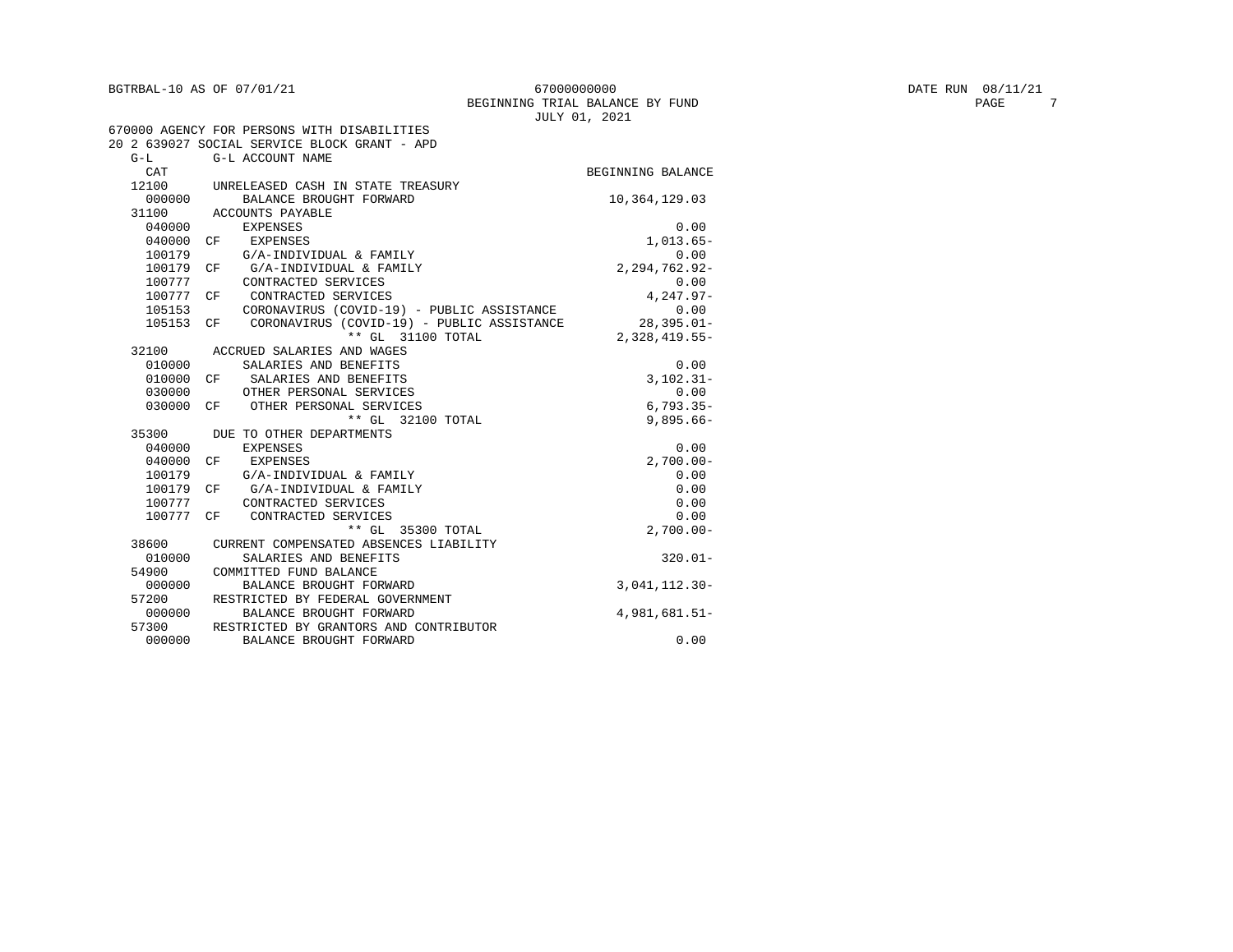54900 COMMITTED FUND BALANCE<br>000000 BALANCE BROUGHT FOR

38600 CURRENT COMPENSATED ABSENCES LIABILITY

57300 RESTRICTED BY GRANTORS AND CONTRIBUTOR

7200 RESTRICTED BY FEDERAL GOVERNMENT<br>000000 BALANCE BROUGHT FORWARD

010000 SALARIES AND BENEFITS 320.01-<br>54900 COMMITTED FUND BALANCE

000000 BALANCE BROUGHT FORWARD 3,041,112.30-57200 RESTRICTED BY FEDERAL GOVERNMENT

000000 BALANCE BROUGHT FORWARD 4,981,681.51-<br>57300 RESTRICTED BY GRANTORS AND CONTRIBUTOR

| 67000000000                     |  |  |  |  |  |  |
|---------------------------------|--|--|--|--|--|--|
| BEGINNING TRIAL BALANCE BY FUND |  |  |  |  |  |  |
| JULY 01, 2021                   |  |  |  |  |  |  |

|           |    |                                                       | o chi cir dobi    |
|-----------|----|-------------------------------------------------------|-------------------|
|           |    | 670000 AGENCY FOR PERSONS WITH DISABILITIES           |                   |
|           |    | 20 2 639027 SOCIAL SERVICE BLOCK GRANT - APD          |                   |
| $G-L$     |    | G-L ACCOUNT NAME                                      |                   |
| CAT       |    |                                                       | BEGINNING BALANCE |
| 12100     |    | UNRELEASED CASH IN STATE TREASURY                     |                   |
| 000000    |    | BALANCE BROUGHT FORWARD                               | 10,364,129.03     |
| 31100     |    | ACCOUNTS PAYABLE                                      |                   |
| 040000    |    | <b>EXPENSES</b>                                       | 0.00              |
| 040000 CF |    | EXPENSES                                              | $1,013.65-$       |
| 100179    |    | G/A-INDIVIDUAL & FAMILY                               | 0.00              |
| 100179 CF |    | G/A-INDIVIDUAL & FAMILY                               | $2.294.762.92 -$  |
| 100777    |    | CONTRACTED SERVICES                                   | 0.00              |
| 100777 CF |    | CONTRACTED SERVICES                                   | $4.247.97 -$      |
| 105153    |    | CORONAVIRUS (COVID-19) - PUBLIC ASSISTANCE            | 0.00              |
| 105153    | CF | -CORONAVIRUS (COVID-19) - PUBLIC ASSISTANCE 28,395.01 |                   |
|           |    | ** GL 31100 TOTAL                                     | $2,328,419.55-$   |
|           |    | 32100 ACCRUED SALARIES AND WAGES                      |                   |
| 010000    |    | SALARIES AND BENEFITS                                 | 0.00              |
| 010000 CF |    | SALARIES AND BENEFITS                                 | $3,102.31-$       |
| 030000    |    | OTHER PERSONAL SERVICES                               | 0.00              |
| 030000    |    | CF OTHER PERSONAL SERVICES                            | $6.793.35 -$      |
|           |    | ** GL 32100 TOTAL                                     | $9,895.66 -$      |
| 35300     |    | DUE TO OTHER DEPARTMENTS                              |                   |
| 040000    |    | <b>EXPENSES</b>                                       | 0.00              |
| 040000    | CF | EXPENSES                                              | $2,700.00-$       |
| 100179    |    | G/A-INDIVIDUAL & FAMILY                               | 0.00              |
| 100179 CF |    | G/A-INDIVIDUAL & FAMILY                               | 0.00              |
| 100777    |    | CONTRACTED SERVICES                                   | 0.00              |
| 100777    | CF | CONTRACTED SERVICES                                   | 0.00              |

\*\* GL 35300 TOTAL 2,700.00-

000000 BALANCE BROUGHT FORWARD **1000000** 0.00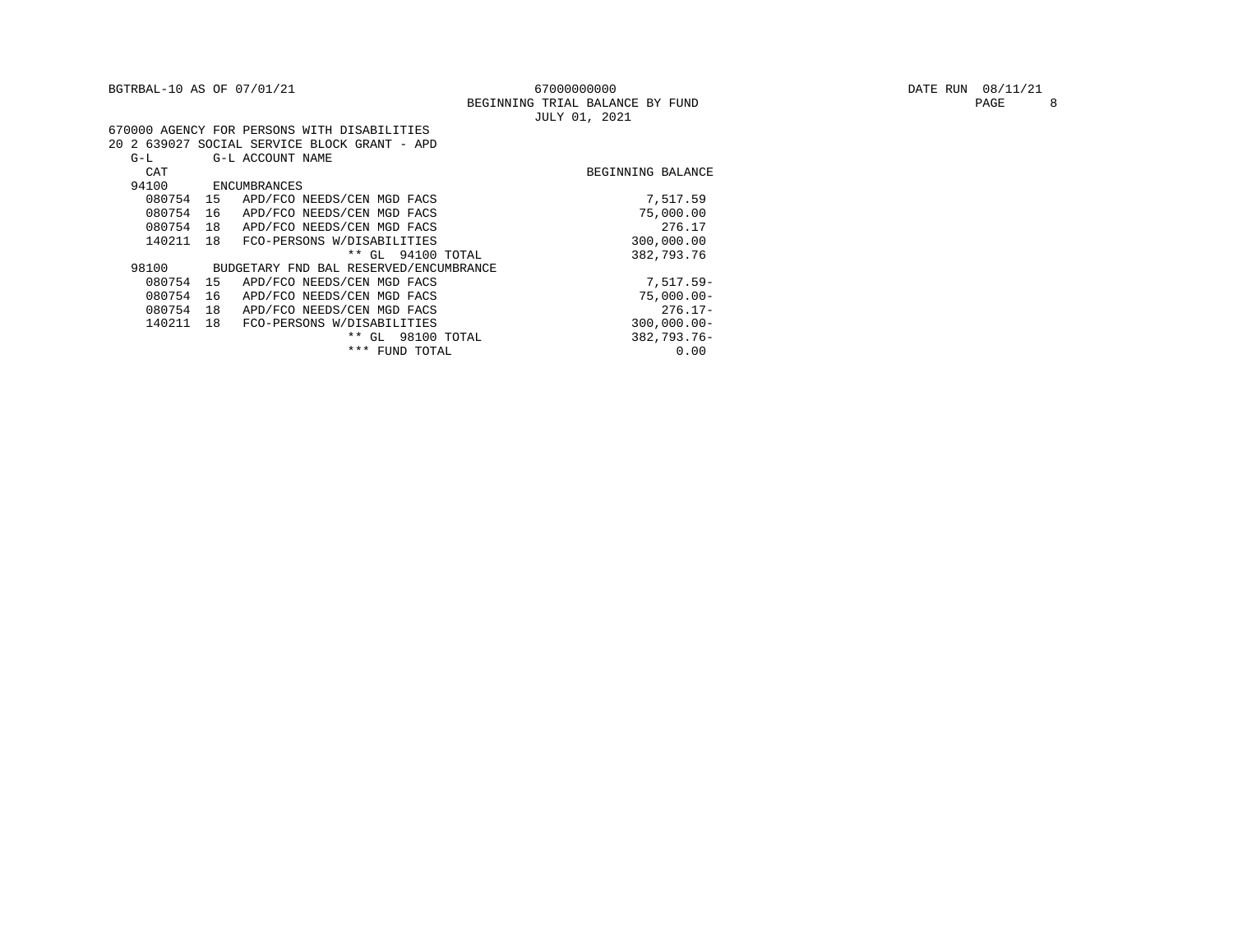| BGTRBAL-10 AS OF 07/01/21<br>67000000000<br>BEGINNING TRIAL BALANCE BY FUND<br>JULY 01, 2021 | DATE RUN 08/11/21<br>PAGE |
|----------------------------------------------------------------------------------------------|---------------------------|
| 670000 AGENCY FOR PERSONS WITH DISABILITIES                                                  |                           |
| 20 2 639027 SOCIAL SERVICE BLOCK GRANT - APD                                                 |                           |
| $G-L$<br>G-L ACCOUNT NAME                                                                    |                           |
| CAT<br>BEGINNING BALANCE                                                                     |                           |
| 94100<br>ENCUMBRANCES                                                                        |                           |
| 080754<br>7,517.59<br>APD/FCO NEEDS/CEN MGD FACS<br>15                                       |                           |
| 080754<br>75,000.00<br>APD/FCO NEEDS/CEN MGD FACS<br>16                                      |                           |
| 276.17<br>080754<br>APD/FCO NEEDS/CEN MGD FACS<br>18                                         |                           |
| 140211 18<br>300,000.00<br>FCO-PERSONS W/DISABILITIES                                        |                           |
| ** GL 94100 TOTAL<br>382,793.76                                                              |                           |
| 98100<br>BUDGETARY FND BAL RESERVED/ENCUMBRANCE                                              |                           |
| $7.517.59 -$<br>080754<br>APD/FCO NEEDS/CEN MGD FACS<br>15                                   |                           |
| 080754<br>$75,000.00$ -<br>APD/FCO NEEDS/CEN MGD FACS<br>16                                  |                           |
| $276.17-$<br>080754<br>APD/FCO NEEDS/CEN MGD FACS<br>18                                      |                           |
| 140211<br>$300,000.00 -$<br>18<br>FCO-PERSONS W/DISABILITIES                                 |                           |
| 382,793.76-<br>98100 TOTAL<br>** GL                                                          |                           |
| 0.00<br>*** FUND TOTAL                                                                       |                           |

PAGE 8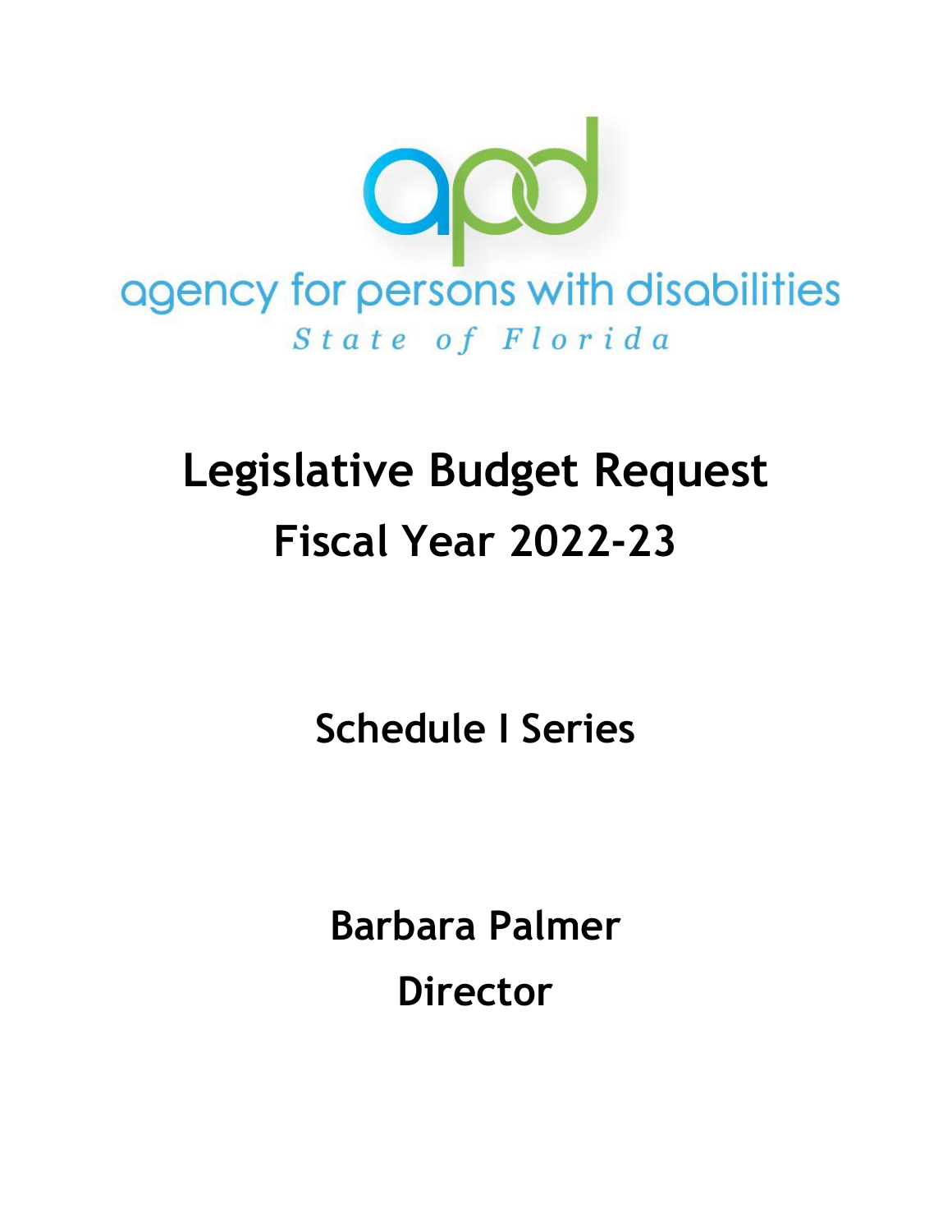

# **Legislative Budget Request Fiscal Year 2022-23**

**Schedule I Series**

**Barbara Palmer Director**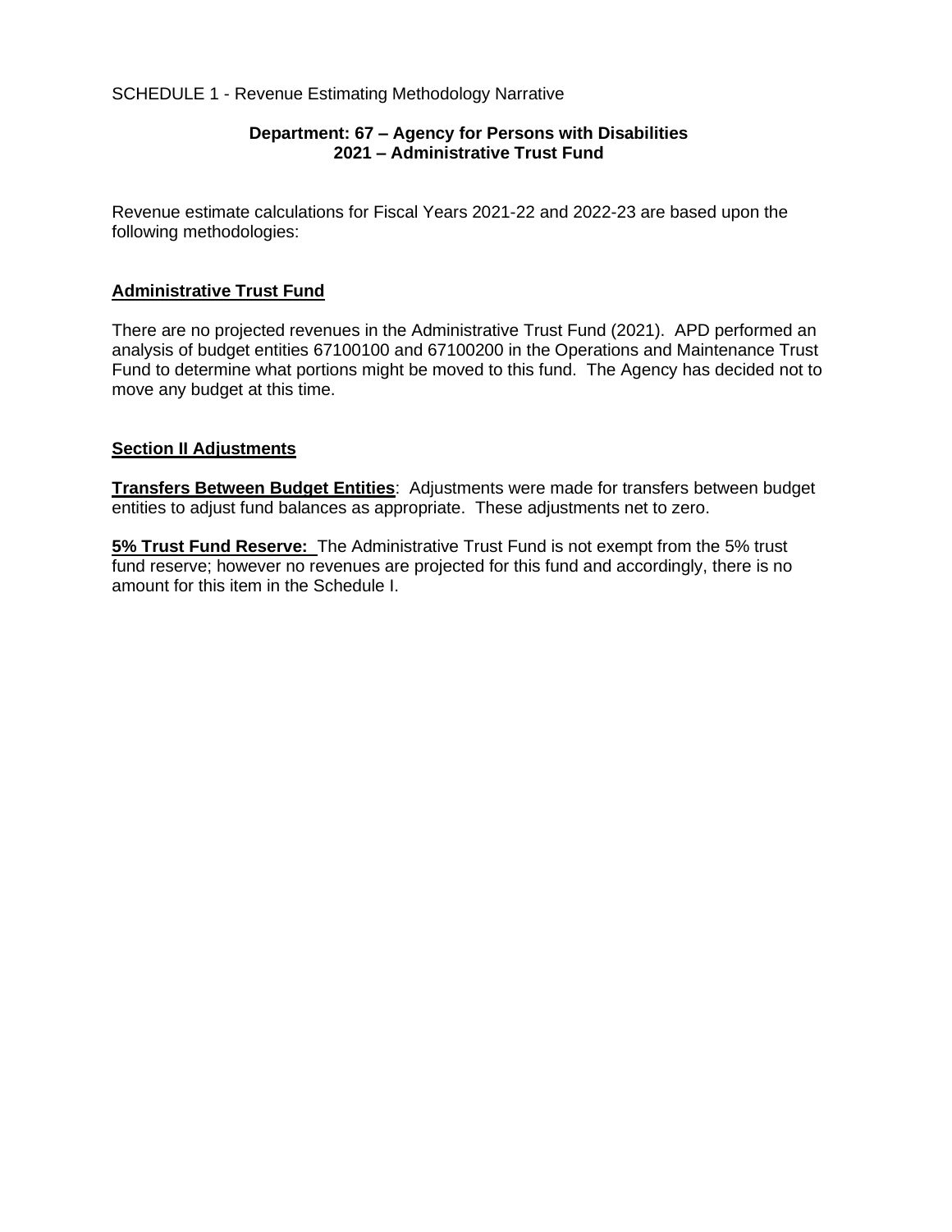#### SCHEDULE 1 - Revenue Estimating Methodology Narrative

#### **Department: 67 – Agency for Persons with Disabilities 2021 – Administrative Trust Fund**

Revenue estimate calculations for Fiscal Years 2021-22 and 2022-23 are based upon the following methodologies:

#### **Administrative Trust Fund**

There are no projected revenues in the Administrative Trust Fund (2021). APD performed an analysis of budget entities 67100100 and 67100200 in the Operations and Maintenance Trust Fund to determine what portions might be moved to this fund. The Agency has decided not to move any budget at this time.

#### **Section II Adjustments**

**Transfers Between Budget Entities**: Adjustments were made for transfers between budget entities to adjust fund balances as appropriate. These adjustments net to zero.

**5% Trust Fund Reserve:** The Administrative Trust Fund is not exempt from the 5% trust fund reserve; however no revenues are projected for this fund and accordingly, there is no amount for this item in the Schedule I.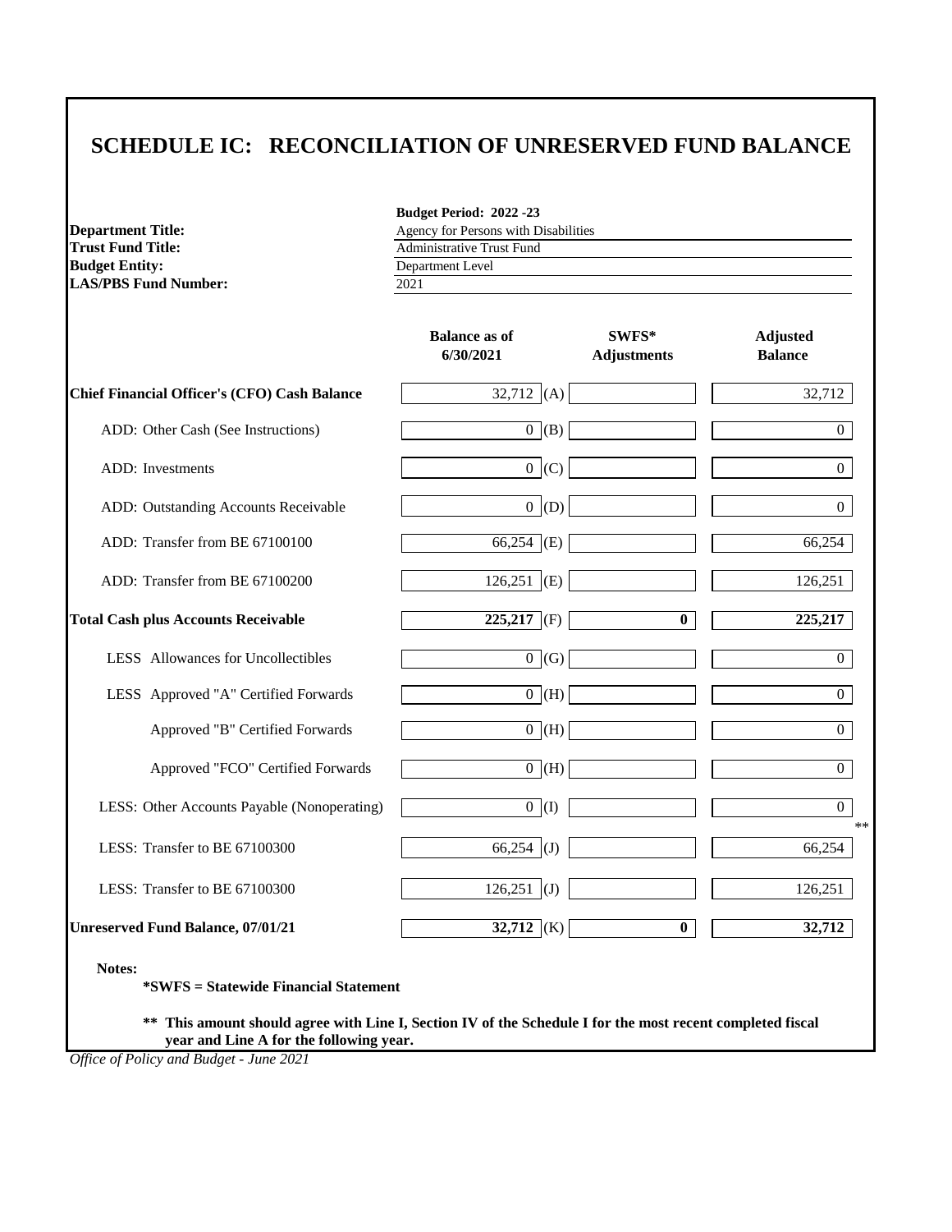**Department Title: Trust Fund Title: Budget Entity: LAS/PBS Fund Number:** 

**Budget Period: 2022 -23** Agency for Persons with Disabilities Department Level Administrative Trust Fund

2021

|                                                     | <b>Balance as of</b><br>6/30/2021 | SWFS*<br><b>Adjustments</b> | <b>Adjusted</b><br><b>Balance</b> |
|-----------------------------------------------------|-----------------------------------|-----------------------------|-----------------------------------|
| <b>Chief Financial Officer's (CFO) Cash Balance</b> | 32,712 (A)                        |                             | 32,712                            |
| ADD: Other Cash (See Instructions)                  | $0$ (B)                           |                             | $\Omega$                          |
| <b>ADD</b> : Investments                            | $0$ (C)                           |                             | $\Omega$                          |
| ADD: Outstanding Accounts Receivable                | $0$ (D)                           |                             | 0                                 |
| ADD: Transfer from BE 67100100                      | $66,254$ (E)                      |                             | 66,254                            |
| ADD: Transfer from BE 67100200                      | $126,251$ (E)                     |                             | 126,251                           |
| <b>Total Cash plus Accounts Receivable</b>          | $225,217$ (F)                     | $\bf{0}$                    | 225,217                           |
| LESS Allowances for Uncollectibles                  | $0 \mid (G)$                      |                             | $\overline{0}$                    |
| LESS Approved "A" Certified Forwards                | $0($ H $)$                        |                             | $\Omega$                          |
| Approved "B" Certified Forwards                     | $($ H $)$                         |                             | $\overline{0}$                    |
| Approved "FCO" Certified Forwards                   | $\overline{0}$ (H)                |                             | $\Omega$                          |
| LESS: Other Accounts Payable (Nonoperating)         | 0(1)                              |                             | $\overline{0}$<br>$**$            |
| LESS: Transfer to BE 67100300                       | 66,254 (J)                        |                             | 66,254                            |
| LESS: Transfer to BE 67100300                       | $126,251$ (J)                     |                             | 126,251                           |
| <b>Unreserved Fund Balance, 07/01/21</b>            | $32,712$ (K)                      | $\bf{0}$                    | 32,712                            |

**Notes:**

**\*SWFS = Statewide Financial Statement**

**\*\* This amount should agree with Line I, Section IV of the Schedule I for the most recent completed fiscal year and Line A for the following year.**

*Office of Policy and Budget - June 2021*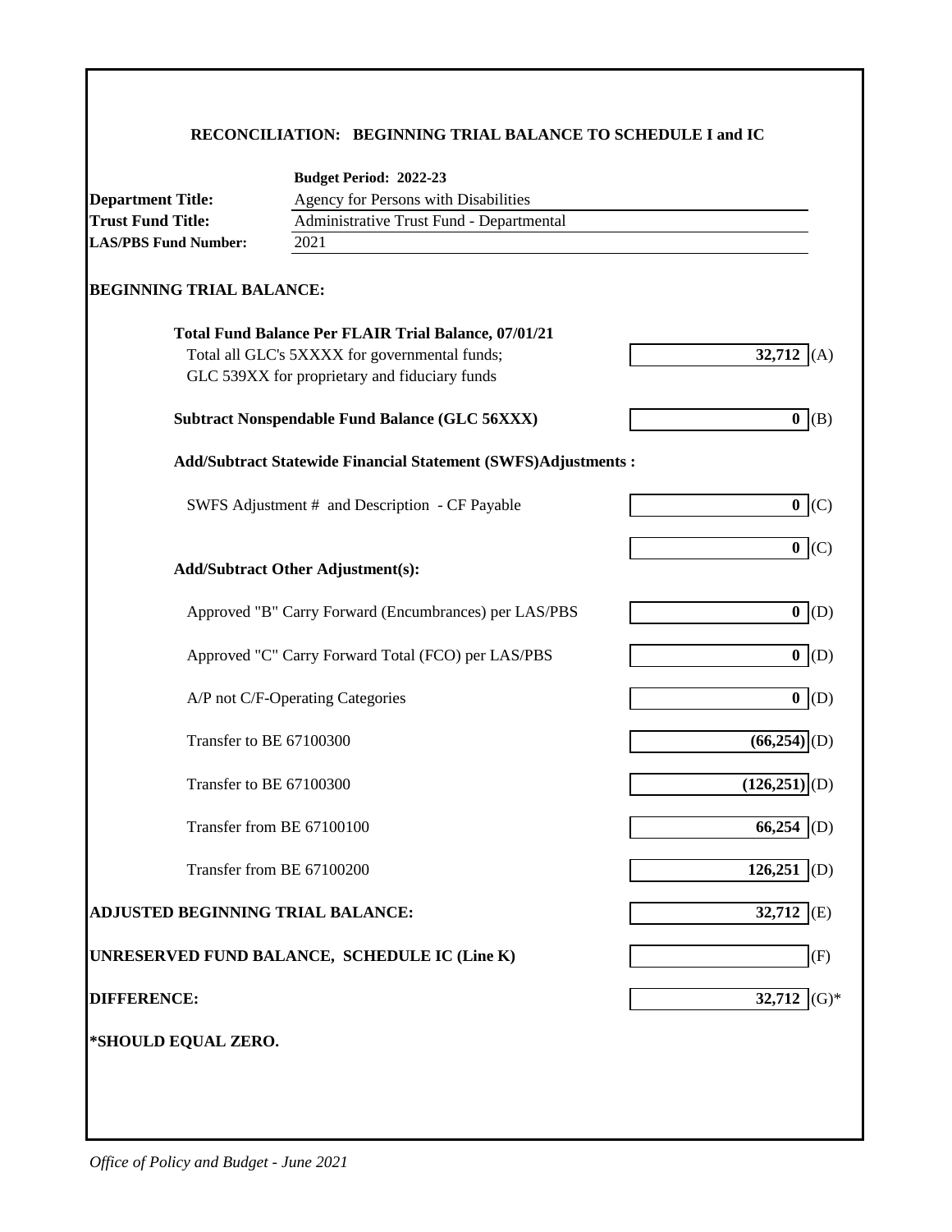## **RECONCILIATION: BEGINNING TRIAL BALANCE TO SCHEDULE I and IC**

|                                          | Budget Period: 2022-23                                               |                            |
|------------------------------------------|----------------------------------------------------------------------|----------------------------|
| <b>Department Title:</b>                 | Agency for Persons with Disabilities                                 |                            |
| <b>Trust Fund Title:</b>                 | Administrative Trust Fund - Departmental                             |                            |
| <b>LAS/PBS Fund Number:</b>              | 2021                                                                 |                            |
| <b>BEGINNING TRIAL BALANCE:</b>          |                                                                      |                            |
|                                          | <b>Total Fund Balance Per FLAIR Trial Balance, 07/01/21</b>          |                            |
|                                          | Total all GLC's 5XXXX for governmental funds;                        | 32,712<br>(A)              |
|                                          | GLC 539XX for proprietary and fiduciary funds                        |                            |
|                                          | <b>Subtract Nonspendable Fund Balance (GLC 56XXX)</b>                | $0($ B)                    |
|                                          | <b>Add/Subtract Statewide Financial Statement (SWFS)Adjustments:</b> |                            |
|                                          | SWFS Adjustment # and Description - CF Payable                       | 0 (C)                      |
|                                          |                                                                      |                            |
|                                          |                                                                      | 0 (C)                      |
|                                          | <b>Add/Subtract Other Adjustment(s):</b>                             |                            |
|                                          | Approved "B" Carry Forward (Encumbrances) per LAS/PBS                | 0  (D)                     |
|                                          | Approved "C" Carry Forward Total (FCO) per LAS/PBS                   | $0($ D                     |
|                                          | A/P not C/F-Operating Categories                                     | 0(                         |
|                                          | Transfer to BE 67100300                                              | $(66,254)$ <sub>(D)</sub>  |
|                                          | Transfer to BE 67100300                                              | $(126,251)$ <sub>(D)</sub> |
|                                          | Transfer from BE 67100100                                            | 66,254<br>(D)              |
|                                          | Transfer from BE 67100200                                            | 126,251<br>(D)             |
| <b>ADJUSTED BEGINNING TRIAL BALANCE:</b> |                                                                      | 32,712 (E)                 |
|                                          | UNRESERVED FUND BALANCE, SCHEDULE IC (Line K)                        | (F)                        |
| <b>DIFFERENCE:</b>                       |                                                                      | 32,712 (G)*                |
| *SHOULD EQUAL ZERO.                      |                                                                      |                            |
|                                          |                                                                      |                            |
|                                          |                                                                      |                            |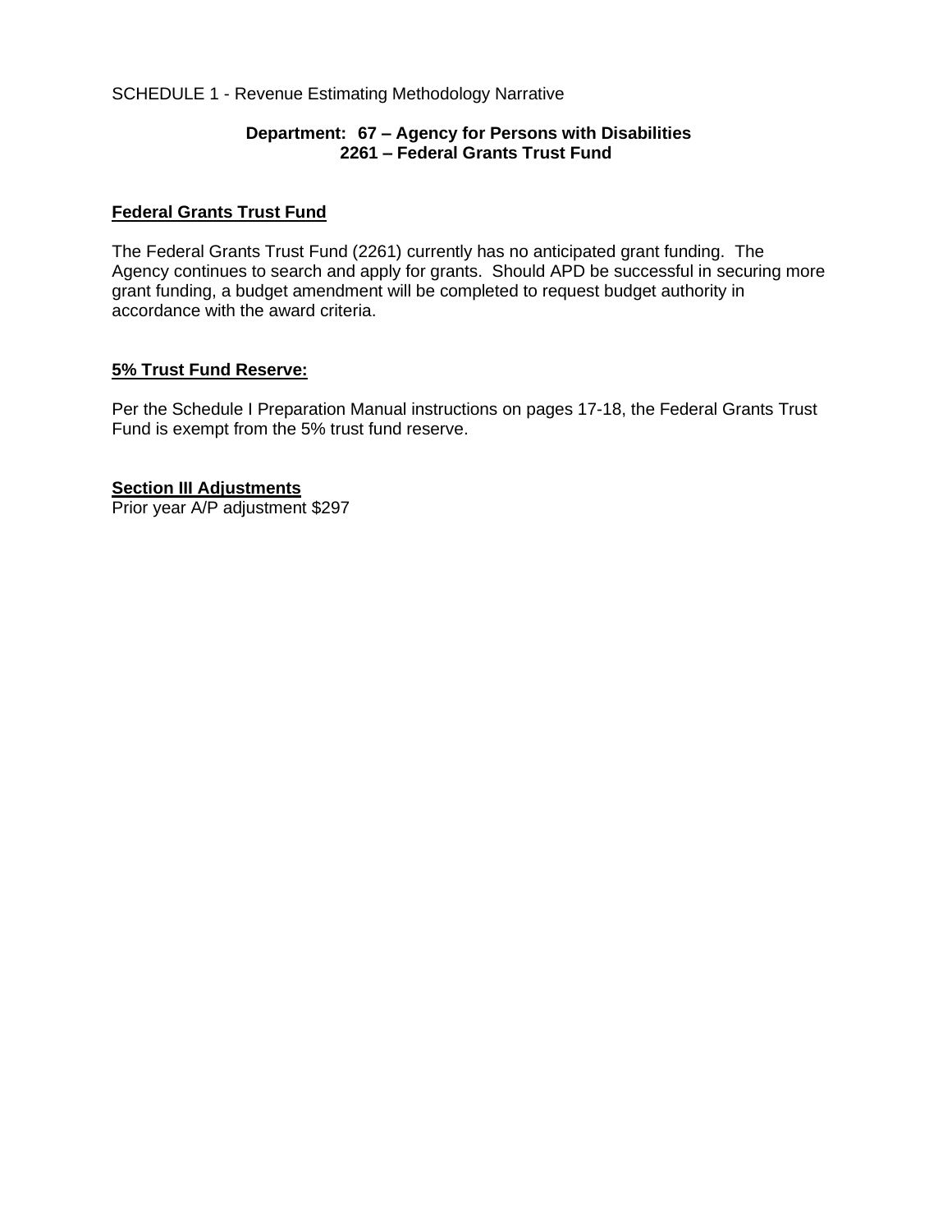#### SCHEDULE 1 - Revenue Estimating Methodology Narrative

#### **Department: 67 – Agency for Persons with Disabilities 2261 – Federal Grants Trust Fund**

#### **Federal Grants Trust Fund**

The Federal Grants Trust Fund (2261) currently has no anticipated grant funding. The Agency continues to search and apply for grants. Should APD be successful in securing more grant funding, a budget amendment will be completed to request budget authority in accordance with the award criteria.

#### **5% Trust Fund Reserve:**

Per the Schedule I Preparation Manual instructions on pages 17-18, the Federal Grants Trust Fund is exempt from the 5% trust fund reserve.

#### **Section III Adjustments**

Prior year A/P adjustment \$297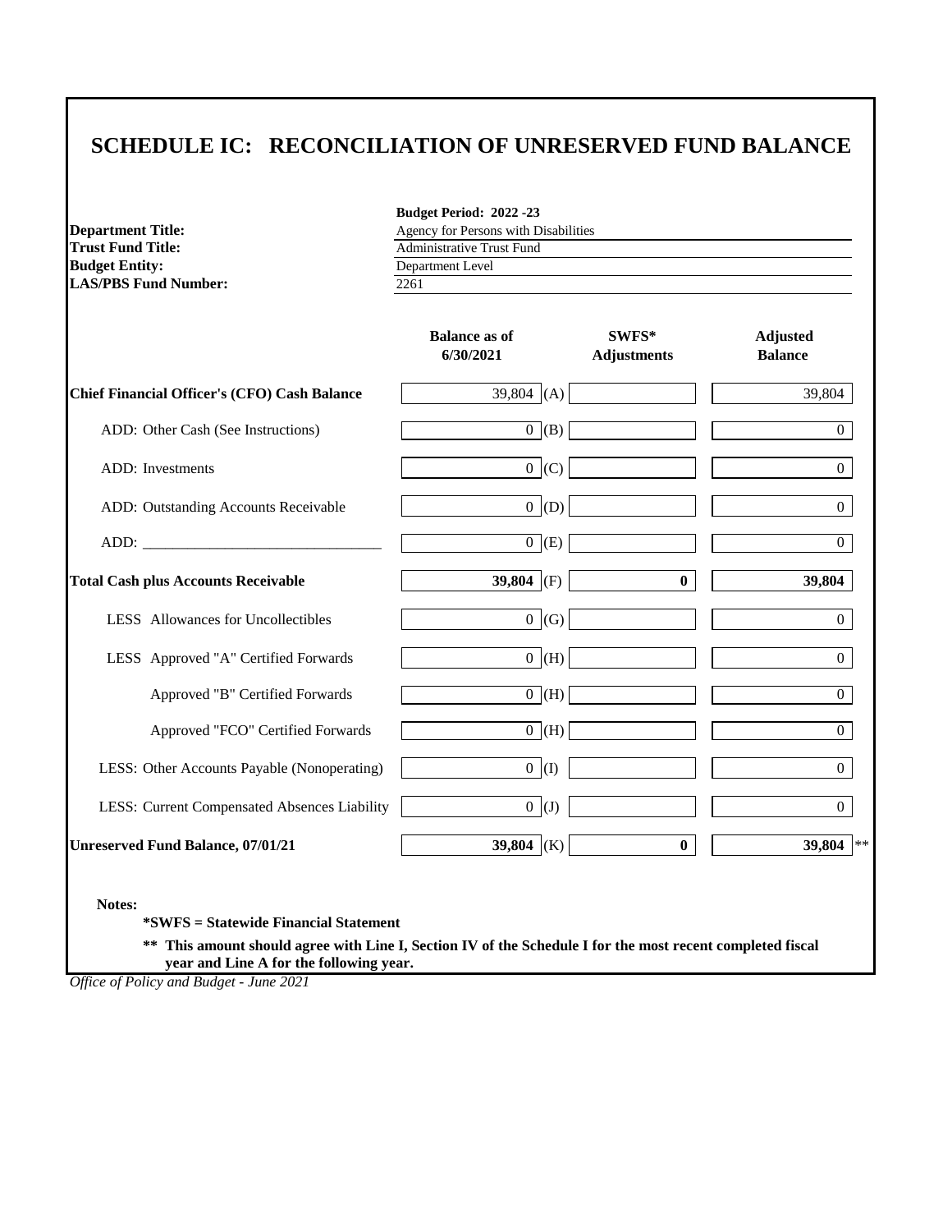| <b>Department Title:</b>    |
|-----------------------------|
| Trust Fund Title:           |
| <b>Budget Entity:</b>       |
| <b>LAS/PBS Fund Number:</b> |

Agency for Persons with Disabilities 2261 Department Level Administrative Trust Fund

**Budget Period: 2022 -23**

|                                                     | <b>Balance as of</b><br>6/30/2021 | SWFS*<br><b>Adjustments</b> | <b>Adjusted</b><br><b>Balance</b> |
|-----------------------------------------------------|-----------------------------------|-----------------------------|-----------------------------------|
| <b>Chief Financial Officer's (CFO) Cash Balance</b> | 39,804 (A)                        |                             | 39,804                            |
| ADD: Other Cash (See Instructions)                  | $0$ (B)                           |                             | $\overline{0}$                    |
| ADD: Investments                                    | 0 (C)                             |                             | $\Omega$                          |
| ADD: Outstanding Accounts Receivable                | $0$ (D)                           |                             | $\Omega$                          |
|                                                     | $0$ (E)                           |                             | $\overline{0}$                    |
| <b>Total Cash plus Accounts Receivable</b>          | 39,804 (F)                        | $\bf{0}$                    | 39,804                            |
| LESS Allowances for Uncollectibles                  | 0(G)                              |                             | $\overline{0}$                    |
| LESS Approved "A" Certified Forwards                | $0 \mid (H)$                      |                             | $\Omega$                          |
| Approved "B" Certified Forwards                     | $0$ (H)                           |                             | $\overline{0}$                    |
| Approved "FCO" Certified Forwards                   | $0$ (H)                           |                             | $\Omega$                          |
| LESS: Other Accounts Payable (Nonoperating)         | 0(1)                              |                             | $\overline{0}$                    |
| LESS: Current Compensated Absences Liability        | $0($ J                            |                             | $\Omega$                          |
| <b>Unreserved Fund Balance, 07/01/21</b>            | 39,804 (K)                        | $\bf{0}$                    | 39,804 **                         |

**Notes:**

**\*SWFS = Statewide Financial Statement** 

**\*\* This amount should agree with Line I, Section IV of the Schedule I for the most recent completed fiscal year and Line A for the following year.**

*Office of Policy and Budget - June 2021*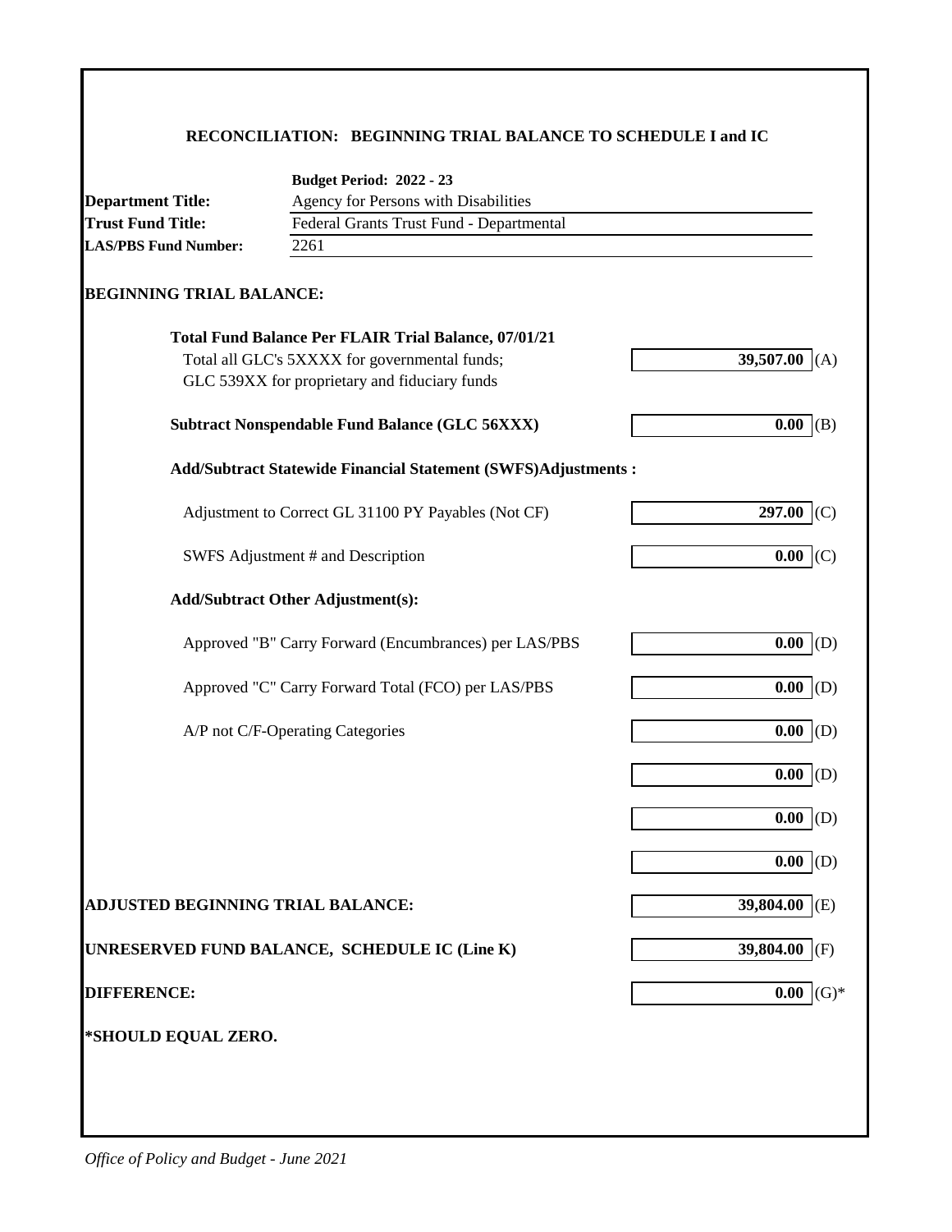## **RECONCILIATION: BEGINNING TRIAL BALANCE TO SCHEDULE I and IC**

|                                   | <b>Budget Period: 2022 - 23</b>                                                                |                  |
|-----------------------------------|------------------------------------------------------------------------------------------------|------------------|
| <b>Department Title:</b>          | Agency for Persons with Disabilities                                                           |                  |
| <b>Trust Fund Title:</b>          | Federal Grants Trust Fund - Departmental<br>2261                                               |                  |
| <b>LAS/PBS Fund Number:</b>       |                                                                                                |                  |
| <b>BEGINNING TRIAL BALANCE:</b>   |                                                                                                |                  |
|                                   | <b>Total Fund Balance Per FLAIR Trial Balance, 07/01/21</b>                                    |                  |
|                                   | Total all GLC's 5XXXX for governmental funds;<br>GLC 539XX for proprietary and fiduciary funds | 39,507.00        |
|                                   | <b>Subtract Nonspendable Fund Balance (GLC 56XXX)</b>                                          | 0.00<br>(B)      |
|                                   | <b>Add/Subtract Statewide Financial Statement (SWFS)Adjustments:</b>                           |                  |
|                                   | Adjustment to Correct GL 31100 PY Payables (Not CF)                                            | 297.00<br>(C)    |
|                                   | SWFS Adjustment # and Description                                                              | 0.00<br>(C)      |
|                                   | <b>Add/Subtract Other Adjustment(s):</b>                                                       |                  |
|                                   | Approved "B" Carry Forward (Encumbrances) per LAS/PBS                                          | 0.00<br>(D)      |
|                                   | Approved "C" Carry Forward Total (FCO) per LAS/PBS                                             | 0.00<br>(D)      |
|                                   | A/P not C/F-Operating Categories                                                               | 0.00<br>(D)      |
|                                   |                                                                                                | 0.00<br>(D)      |
|                                   |                                                                                                | 0.00<br>(D)      |
|                                   |                                                                                                | $0.00$ (D)       |
| ADJUSTED BEGINNING TRIAL BALANCE: |                                                                                                | 39,804.00 (E)    |
|                                   | UNRESERVED FUND BALANCE, SCHEDULE IC (Line K)                                                  | 39,804.00<br>(F) |
| <b>DIFFERENCE:</b>                |                                                                                                | $(G)*$<br>0.00   |
| *SHOULD EQUAL ZERO.               |                                                                                                |                  |
|                                   |                                                                                                |                  |
|                                   |                                                                                                |                  |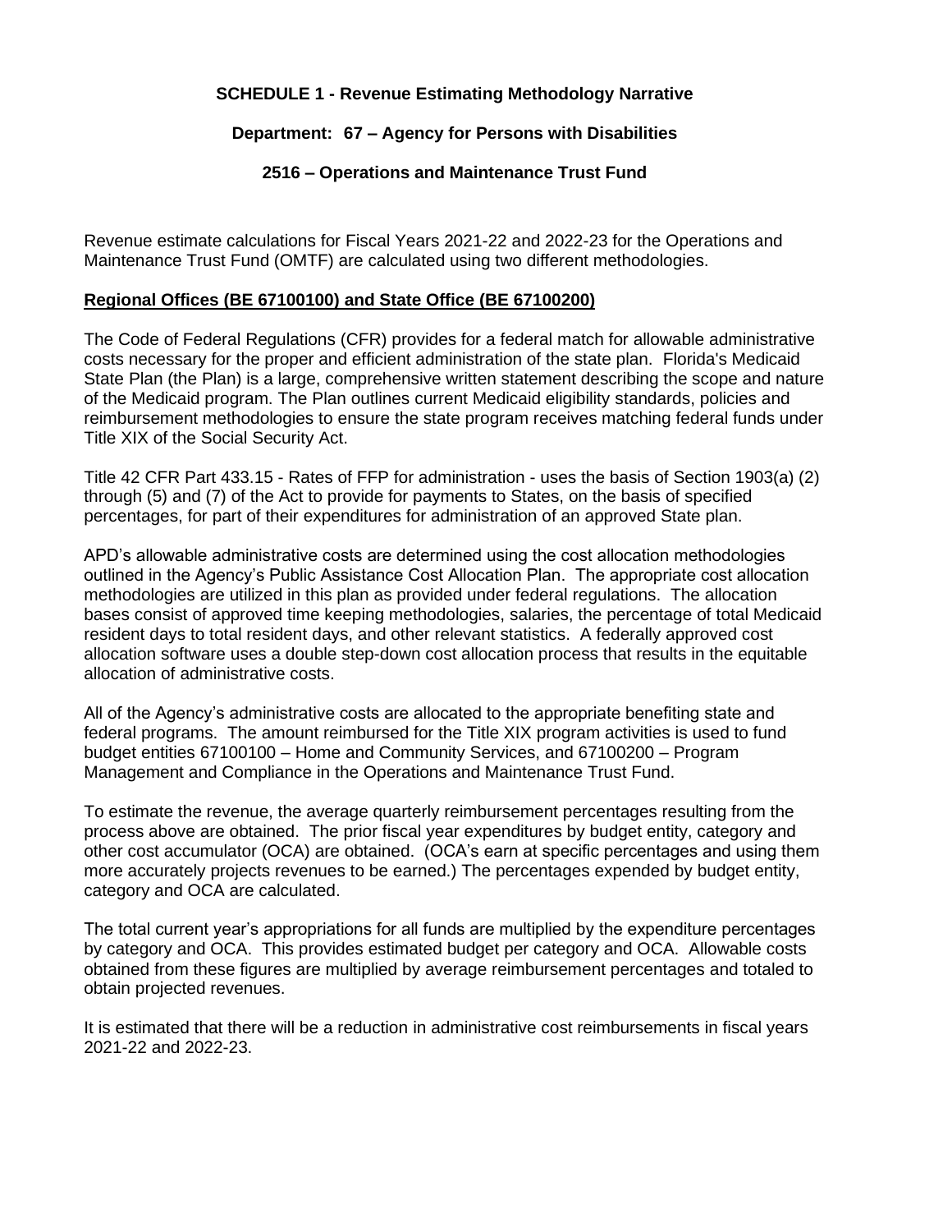#### **SCHEDULE 1 - Revenue Estimating Methodology Narrative**

#### **Department: 67 – Agency for Persons with Disabilities**

#### **2516 – Operations and Maintenance Trust Fund**

Revenue estimate calculations for Fiscal Years 2021-22 and 2022-23 for the Operations and Maintenance Trust Fund (OMTF) are calculated using two different methodologies.

#### **Regional Offices (BE 67100100) and State Office (BE 67100200)**

The Code of Federal Regulations (CFR) provides for a federal match for allowable administrative costs necessary for the proper and efficient administration of the state plan. Florida's Medicaid State Plan (the Plan) is a large, comprehensive written statement describing the scope and nature of the Medicaid program. The Plan outlines current Medicaid eligibility standards, policies and reimbursement methodologies to ensure the state program receives matching federal funds under Title XIX of the Social Security Act.

Title 42 CFR Part 433.15 - Rates of FFP for administration - uses the basis of Section 1903(a) (2) through (5) and (7) of the Act to provide for payments to States, on the basis of specified percentages, for part of their expenditures for administration of an approved State plan.

APD's allowable administrative costs are determined using the cost allocation methodologies outlined in the Agency's Public Assistance Cost Allocation Plan. The appropriate cost allocation methodologies are utilized in this plan as provided under federal regulations. The allocation bases consist of approved time keeping methodologies, salaries, the percentage of total Medicaid resident days to total resident days, and other relevant statistics. A federally approved cost allocation software uses a double step-down cost allocation process that results in the equitable allocation of administrative costs.

All of the Agency's administrative costs are allocated to the appropriate benefiting state and federal programs. The amount reimbursed for the Title XIX program activities is used to fund budget entities 67100100 – Home and Community Services, and 67100200 – Program Management and Compliance in the Operations and Maintenance Trust Fund.

To estimate the revenue, the average quarterly reimbursement percentages resulting from the process above are obtained. The prior fiscal year expenditures by budget entity, category and other cost accumulator (OCA) are obtained. (OCA's earn at specific percentages and using them more accurately projects revenues to be earned.) The percentages expended by budget entity, category and OCA are calculated.

The total current year's appropriations for all funds are multiplied by the expenditure percentages by category and OCA. This provides estimated budget per category and OCA. Allowable costs obtained from these figures are multiplied by average reimbursement percentages and totaled to obtain projected revenues.

It is estimated that there will be a reduction in administrative cost reimbursements in fiscal years 2021-22 and 2022-23.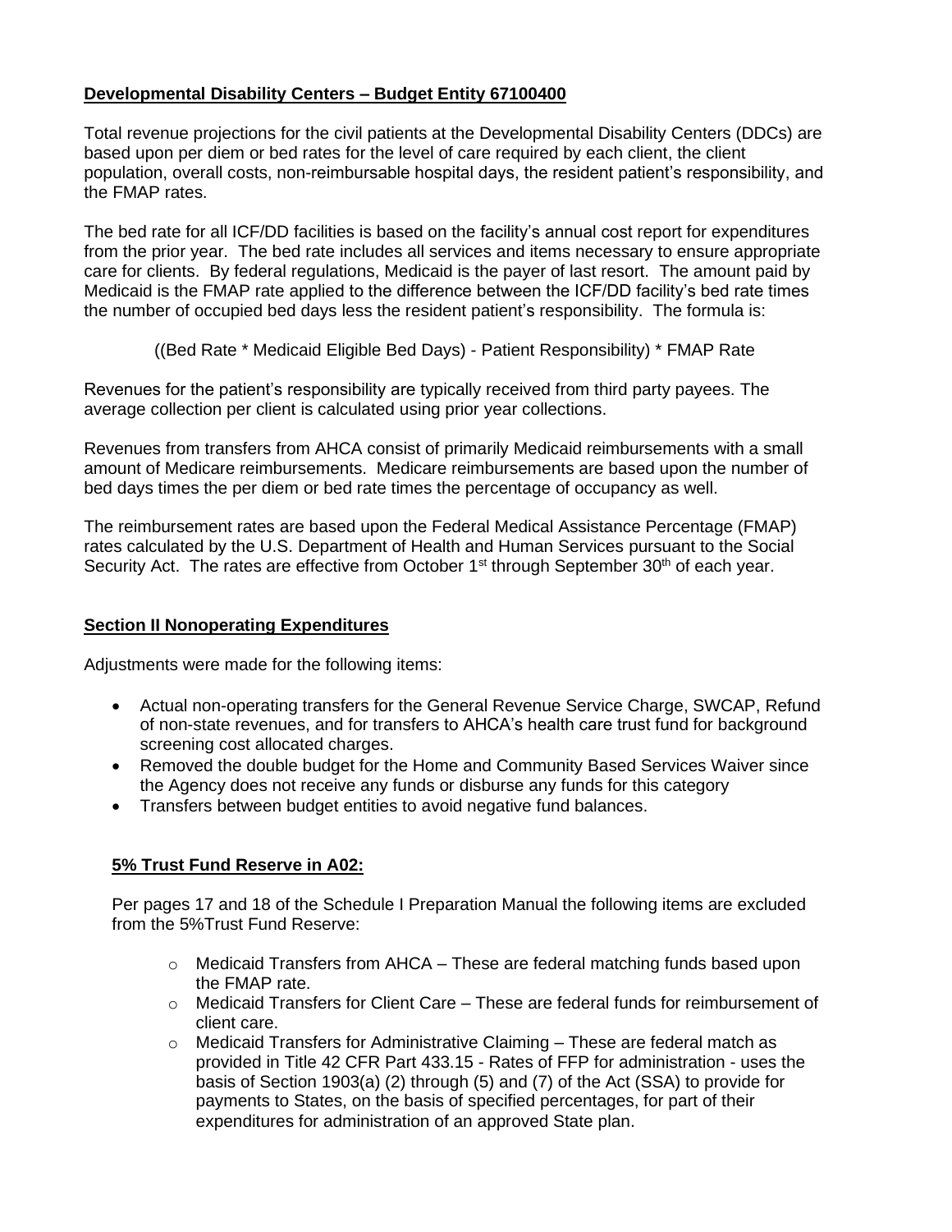### **Developmental Disability Centers – Budget Entity 67100400**

Total revenue projections for the civil patients at the Developmental Disability Centers (DDCs) are based upon per diem or bed rates for the level of care required by each client, the client population, overall costs, non-reimbursable hospital days, the resident patient's responsibility, and the FMAP rates.

The bed rate for all ICF/DD facilities is based on the facility's annual cost report for expenditures from the prior year. The bed rate includes all services and items necessary to ensure appropriate care for clients. By federal regulations, Medicaid is the payer of last resort. The amount paid by Medicaid is the FMAP rate applied to the difference between the ICF/DD facility's bed rate times the number of occupied bed days less the resident patient's responsibility. The formula is:

((Bed Rate \* Medicaid Eligible Bed Days) - Patient Responsibility) \* FMAP Rate

Revenues for the patient's responsibility are typically received from third party payees. The average collection per client is calculated using prior year collections.

Revenues from transfers from AHCA consist of primarily Medicaid reimbursements with a small amount of Medicare reimbursements. Medicare reimbursements are based upon the number of bed days times the per diem or bed rate times the percentage of occupancy as well.

The reimbursement rates are based upon the Federal Medical Assistance Percentage (FMAP) rates calculated by the U.S. Department of Health and Human Services pursuant to the Social Security Act. The rates are effective from October 1<sup>st</sup> through September 30<sup>th</sup> of each year.

#### **Section II Nonoperating Expenditures**

Adjustments were made for the following items:

- Actual non-operating transfers for the General Revenue Service Charge, SWCAP, Refund of non-state revenues, and for transfers to AHCA's health care trust fund for background screening cost allocated charges.
- Removed the double budget for the Home and Community Based Services Waiver since the Agency does not receive any funds or disburse any funds for this category
- Transfers between budget entities to avoid negative fund balances.

#### **5% Trust Fund Reserve in A02:**

Per pages 17 and 18 of the Schedule I Preparation Manual the following items are excluded from the 5%Trust Fund Reserve:

- $\circ$  Medicaid Transfers from AHCA These are federal matching funds based upon the FMAP rate.
- $\circ$  Medicaid Transfers for Client Care These are federal funds for reimbursement of client care.
- $\circ$  Medicaid Transfers for Administrative Claiming These are federal match as provided in Title 42 CFR Part 433.15 - Rates of FFP for administration - uses the basis of Section 1903(a) (2) through (5) and (7) of the Act (SSA) to provide for payments to States, on the basis of specified percentages, for part of their expenditures for administration of an approved State plan.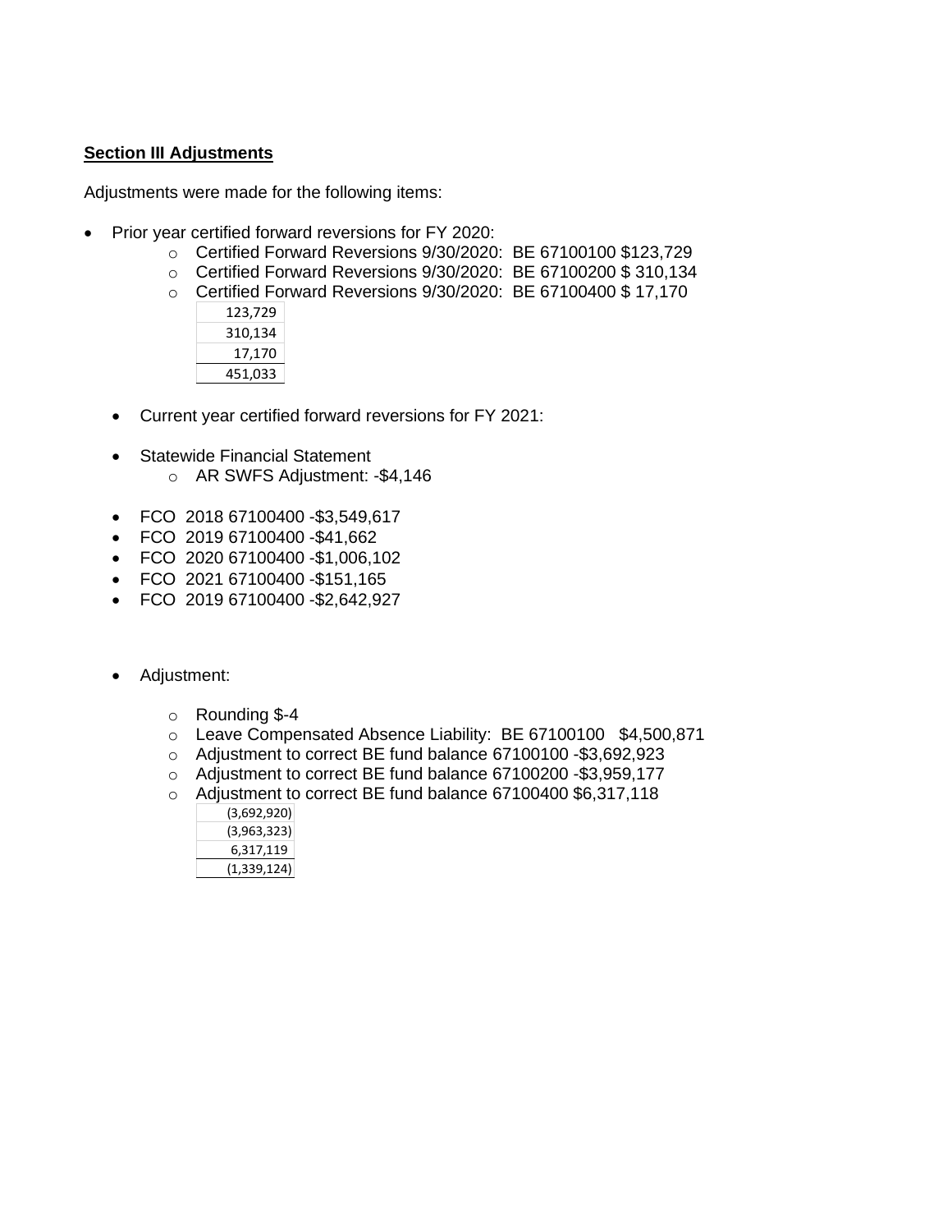#### **Section III Adjustments**

Adjustments were made for the following items:

- Prior year certified forward reversions for FY 2020:
	- o Certified Forward Reversions 9/30/2020: BE 67100100 \$123,729
	- o Certified Forward Reversions 9/30/2020: BE 67100200 \$ 310,134
	- o Certified Forward Reversions 9/30/2020: BE 67100400 \$ 17,170

| 123,729 |  |
|---------|--|
| 310,134 |  |
| 17,170  |  |
| 451,033 |  |

- Current year certified forward reversions for FY 2021:
- Statewide Financial Statement
	- o AR SWFS Adjustment: -\$4,146
- FCO 2018 67100400 -\$3,549,617
- FCO 2019 67100400 -\$41,662
- FCO 2020 67100400 -\$1,006,102
- FCO 2021 67100400 -\$151,165
- FCO 2019 67100400 -\$2,642,927
- Adjustment:
	- $\circ$  Rounding \$-4
	- o Leave Compensated Absence Liability: BE 67100100 \$4,500,871
	- o Adjustment to correct BE fund balance 67100100 -\$3,692,923
	- o Adjustment to correct BE fund balance 67100200 -\$3,959,177
	- o Adjustment to correct BE fund balance 67100400 \$6,317,118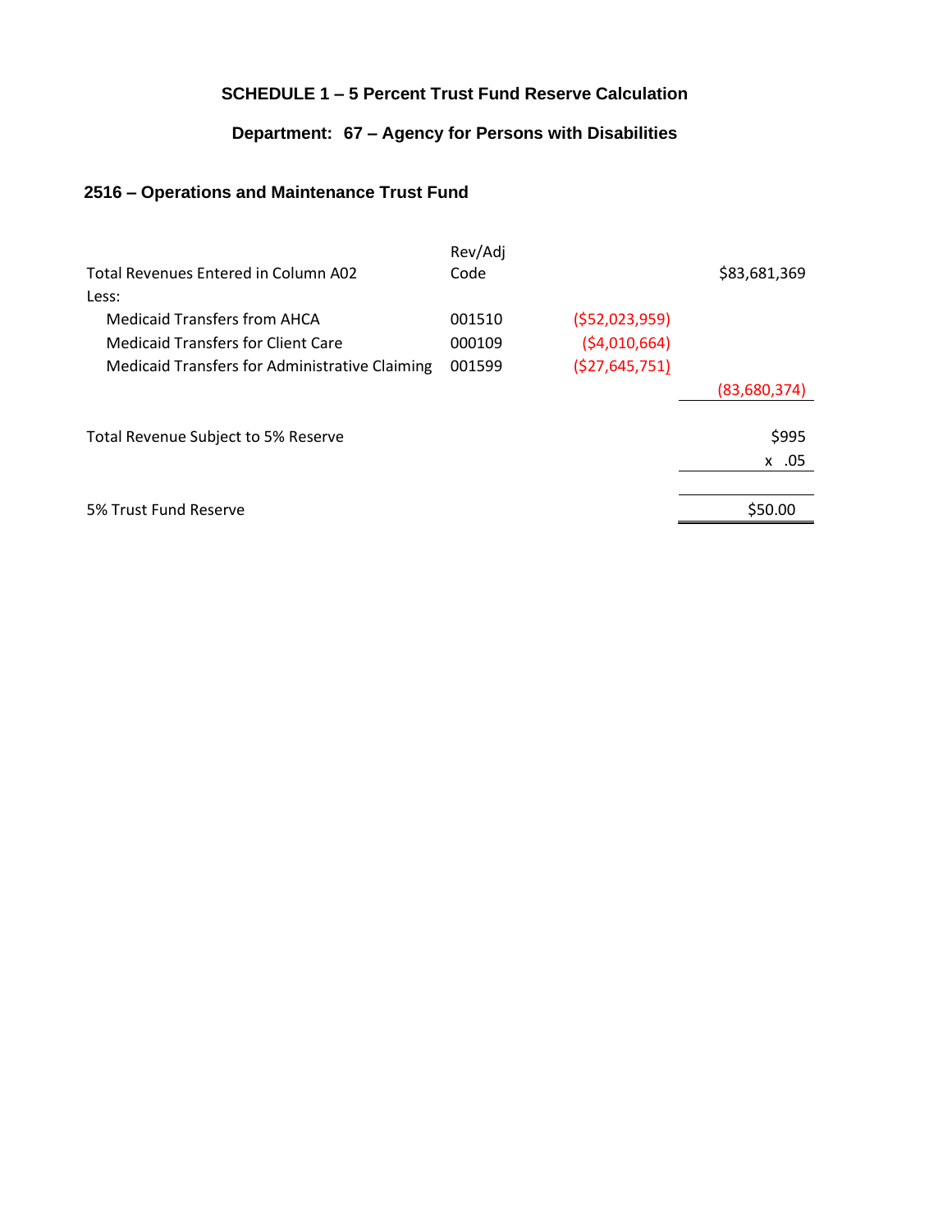## **SCHEDULE 1 – 5 Percent Trust Fund Reserve Calculation**

## **Department: 67 – Agency for Persons with Disabilities**

## **2516 – Operations and Maintenance Trust Fund**

| Total Revenues Entered in Column A02<br>Less:  | Rev/Adj<br>Code |                 | \$83,681,369 |
|------------------------------------------------|-----------------|-----------------|--------------|
| <b>Medicaid Transfers from AHCA</b>            | 001510          | ( \$52,023,959) |              |
| <b>Medicaid Transfers for Client Care</b>      | 000109          | ( \$4,010,664)  |              |
| Medicaid Transfers for Administrative Claiming | 001599          | ( \$27,645,751) |              |
|                                                |                 |                 | (83,680,374) |
| Total Revenue Subject to 5% Reserve            |                 |                 | \$995        |
|                                                |                 |                 | x .05        |
|                                                |                 |                 |              |
| 5% Trust Fund Reserve                          |                 |                 | \$50.00      |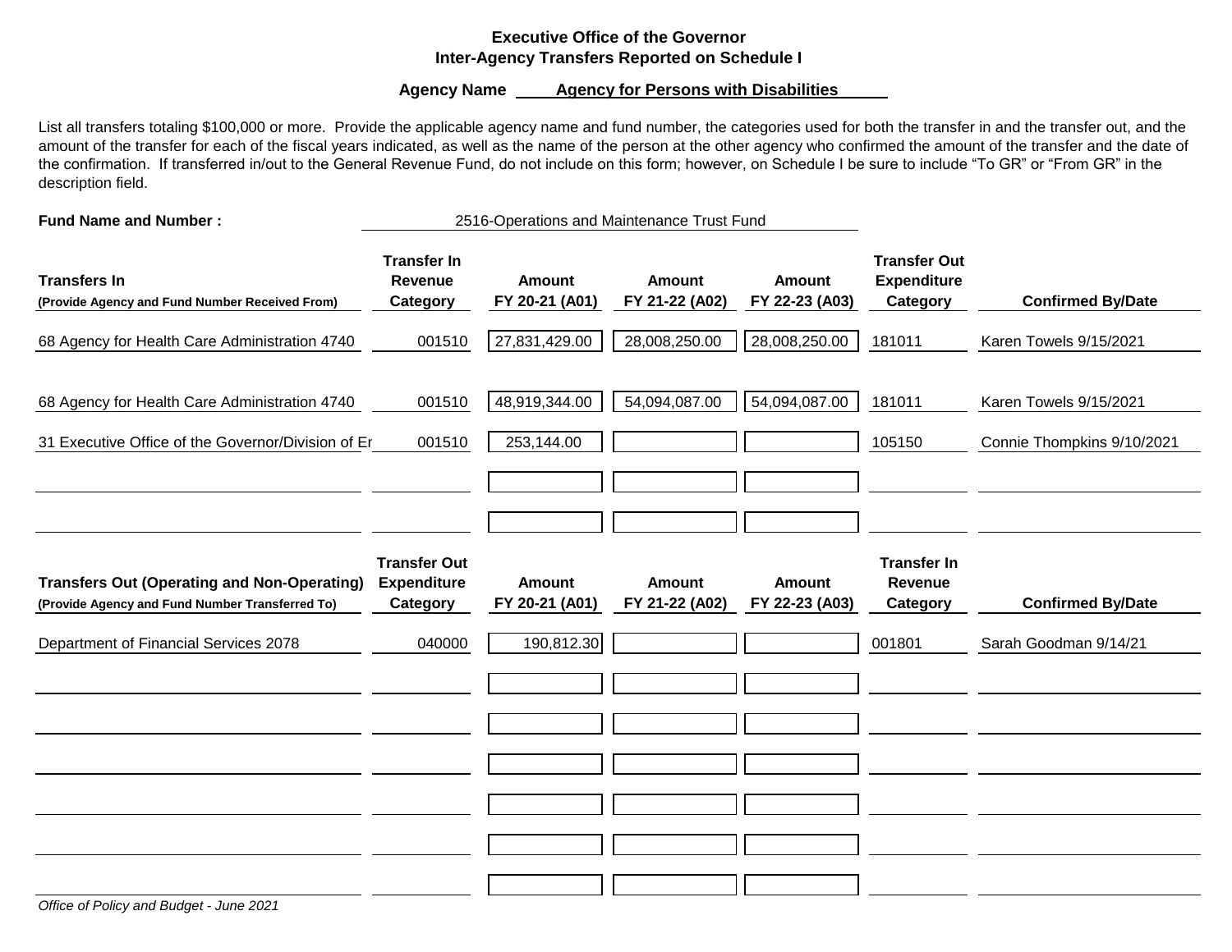#### **Executive Office of the Governor Inter-Agency Transfers Reported on Schedule I**

#### **Agency Name \_\_\_\_\_ Agency for Persons with Disabilities**

List all transfers totaling \$100,000 or more. Provide the applicable agency name and fund number, the categories used for both the transfer in and the transfer out, and the amount of the transfer for each of the fiscal years indicated, as well as the name of the person at the other agency who confirmed the amount of the transfer and the date of the confirmation. If transferred in/out to the General Revenue Fund, do not include on this form; however, on Schedule I be sure to include "To GR" or "From GR" in the description field.

**Fund Name and Number :**

2516-Operations and Maintenance Trust Fund

| <b>Transfers In</b><br>(Provide Agency and Fund Number Received From)                                 | <b>Transfer In</b><br><b>Revenue</b><br>Category      | <b>Amount</b><br>FY 20-21 (A01) | <b>Amount</b><br>FY 21-22 (A02) | <b>Amount</b><br>FY 22-23 (A03) | <b>Transfer Out</b><br><b>Expenditure</b><br>Category | <b>Confirmed By/Date</b>   |
|-------------------------------------------------------------------------------------------------------|-------------------------------------------------------|---------------------------------|---------------------------------|---------------------------------|-------------------------------------------------------|----------------------------|
| 68 Agency for Health Care Administration 4740                                                         | 001510                                                | 27,831,429.00                   | 28,008,250.00                   | 28,008,250.00                   | 181011                                                | Karen Towels 9/15/2021     |
| 68 Agency for Health Care Administration 4740                                                         | 001510                                                | 48,919,344.00                   | 54,094,087.00                   | 54,094,087.00                   | 181011                                                | Karen Towels 9/15/2021     |
| 31 Executive Office of the Governor/Division of Er                                                    | 001510                                                | 253,144.00                      |                                 |                                 | 105150                                                | Connie Thompkins 9/10/2021 |
|                                                                                                       |                                                       |                                 |                                 |                                 |                                                       |                            |
| <b>Transfers Out (Operating and Non-Operating)</b><br>(Provide Agency and Fund Number Transferred To) | <b>Transfer Out</b><br><b>Expenditure</b><br>Category | <b>Amount</b><br>FY 20-21 (A01) | <b>Amount</b><br>FY 21-22 (A02) | <b>Amount</b><br>FY 22-23 (A03) | <b>Transfer In</b><br>Revenue<br>Category             | <b>Confirmed By/Date</b>   |
| Department of Financial Services 2078                                                                 | 040000                                                | 190,812.30                      |                                 |                                 | 001801                                                | Sarah Goodman 9/14/21      |
|                                                                                                       |                                                       |                                 |                                 |                                 |                                                       |                            |
|                                                                                                       |                                                       |                                 |                                 |                                 |                                                       |                            |
|                                                                                                       |                                                       |                                 |                                 |                                 |                                                       |                            |
|                                                                                                       |                                                       |                                 |                                 |                                 |                                                       |                            |
|                                                                                                       |                                                       |                                 |                                 |                                 |                                                       |                            |
|                                                                                                       |                                                       |                                 |                                 |                                 |                                                       |                            |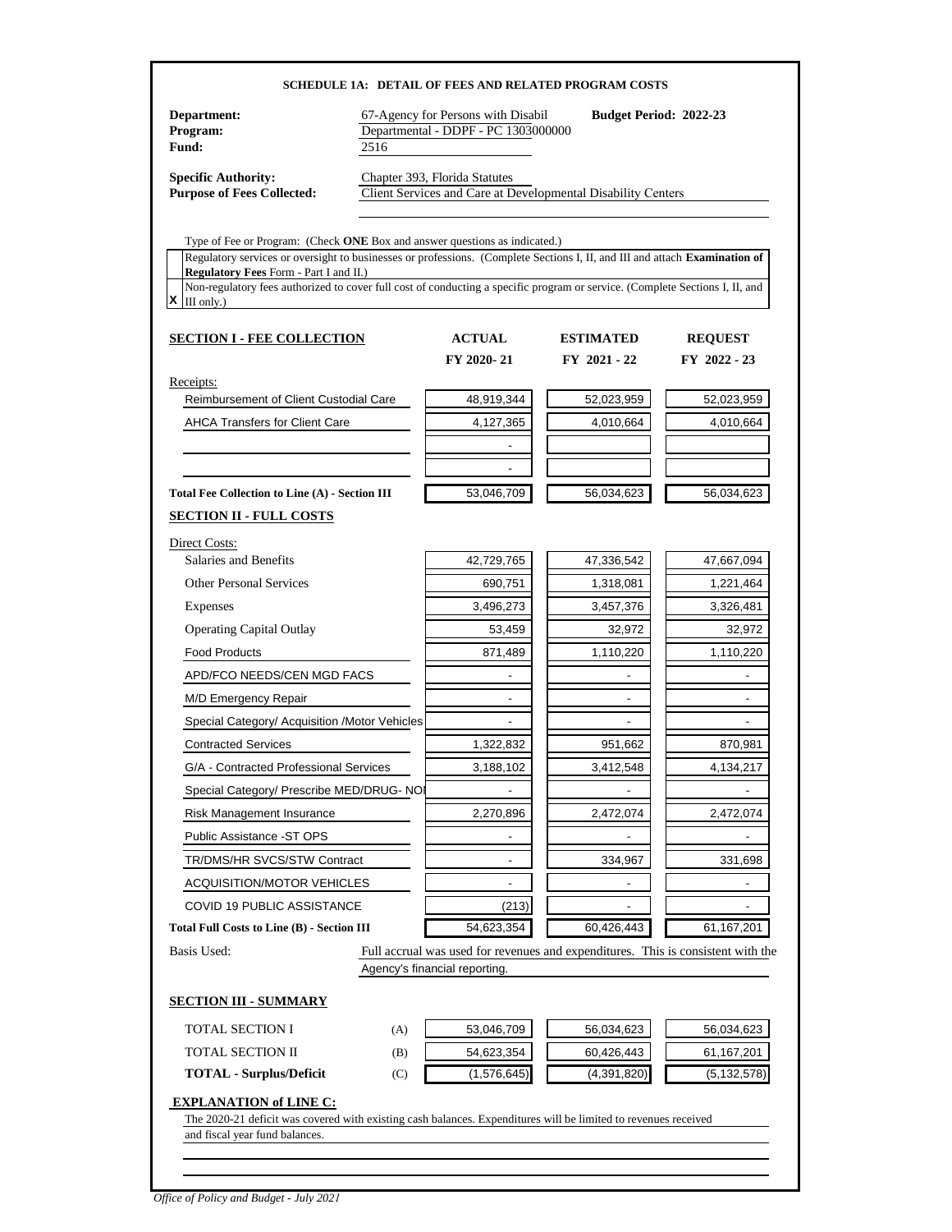| Department:<br>Program:<br>Fund:                                                                                                                                            | 2516 | 67-Agency for Persons with Disabil<br>Departmental - DDPF - PC 1303000000 | <b>SCHEDULE 1A: DETAIL OF FEES AND RELATED PROGRAM COSTS</b><br><b>Budget Period: 2022-23</b> |                              |
|-----------------------------------------------------------------------------------------------------------------------------------------------------------------------------|------|---------------------------------------------------------------------------|-----------------------------------------------------------------------------------------------|------------------------------|
| <b>Specific Authority:</b><br><b>Purpose of Fees Collected:</b>                                                                                                             |      | Chapter 393, Florida Statutes                                             | Client Services and Care at Developmental Disability Centers                                  |                              |
| Type of Fee or Program: (Check ONE Box and answer questions as indicated.)                                                                                                  |      |                                                                           |                                                                                               |                              |
| Regulatory services or oversight to businesses or professions. (Complete Sections I, II, and III and attach Examination of<br><b>Regulatory Fees Form - Part I and II.)</b> |      |                                                                           |                                                                                               |                              |
| Non-regulatory fees authorized to cover full cost of conducting a specific program or service. (Complete Sections I, II, and                                                |      |                                                                           |                                                                                               |                              |
| $X \parallel$ III only.)                                                                                                                                                    |      |                                                                           |                                                                                               |                              |
| <b>SECTION I - FEE COLLECTION</b>                                                                                                                                           |      | <b>ACTUAL</b>                                                             | <b>ESTIMATED</b>                                                                              | <b>REQUEST</b>               |
|                                                                                                                                                                             |      | FY 2020-21                                                                | FY 2021 - 22                                                                                  | FY 2022 - 23                 |
| Receipts:                                                                                                                                                                   |      |                                                                           |                                                                                               |                              |
| Reimbursement of Client Custodial Care                                                                                                                                      |      | 48,919,344                                                                | 52,023,959                                                                                    | 52,023,959                   |
| <b>AHCA Transfers for Client Care</b>                                                                                                                                       |      | 4,127,365                                                                 | 4,010,664                                                                                     | 4,010,664                    |
|                                                                                                                                                                             |      |                                                                           |                                                                                               |                              |
|                                                                                                                                                                             |      |                                                                           |                                                                                               |                              |
| <b>Total Fee Collection to Line (A) - Section III</b><br><b>SECTION II - FULL COSTS</b>                                                                                     |      | 53,046,709                                                                | 56,034,623                                                                                    | 56,034,623                   |
| Direct Costs:<br>Salaries and Benefits                                                                                                                                      |      | 42,729,765                                                                | 47,336,542                                                                                    | 47,667,094                   |
|                                                                                                                                                                             |      |                                                                           |                                                                                               |                              |
| <b>Other Personal Services</b>                                                                                                                                              |      | 690,751                                                                   | 1,318,081                                                                                     | 1,221,464                    |
| Expenses                                                                                                                                                                    |      | 3,496,273                                                                 | 3,457,376                                                                                     | 3,326,481                    |
| <b>Operating Capital Outlay</b>                                                                                                                                             |      | 53,459                                                                    | 32,972                                                                                        | 32,972                       |
| <b>Food Products</b>                                                                                                                                                        |      | 871,489                                                                   | 1,110,220                                                                                     | 1,110,220                    |
| APD/FCO NEEDS/CEN MGD FACS                                                                                                                                                  |      |                                                                           |                                                                                               |                              |
| M/D Emergency Repair                                                                                                                                                        |      |                                                                           |                                                                                               |                              |
| Special Category/ Acquisition /Motor Vehicles                                                                                                                               |      |                                                                           |                                                                                               |                              |
| <b>Contracted Services</b>                                                                                                                                                  |      | 1,322,832                                                                 | 951,662                                                                                       | 870,981                      |
| G/A - Contracted Professional Services                                                                                                                                      |      | 3,188,102                                                                 | 3,412,548                                                                                     | 4,134,217                    |
| Special Category/ Prescribe MED/DRUG- NO                                                                                                                                    |      |                                                                           |                                                                                               |                              |
| Risk Management Insurance                                                                                                                                                   |      | 2,270,896                                                                 | 2,472,074                                                                                     | 2,472,074                    |
| Public Assistance -ST OPS                                                                                                                                                   |      | $\overline{a}$                                                            |                                                                                               |                              |
| TR/DMS/HR SVCS/STW Contract                                                                                                                                                 |      | $\overline{a}$                                                            | 334,967                                                                                       | 331,698                      |
| <b>ACQUISITION/MOTOR VEHICLES</b>                                                                                                                                           |      |                                                                           |                                                                                               |                              |
| COVID 19 PUBLIC ASSISTANCE                                                                                                                                                  |      | (213)                                                                     | $\overline{a}$                                                                                | $\qquad \qquad \blacksquare$ |
| <b>Total Full Costs to Line (B) - Section III</b>                                                                                                                           |      | 54,623,354                                                                | 60,426,443                                                                                    | 61,167,201                   |
| Basis Used:                                                                                                                                                                 |      | Agency's financial reporting.                                             | Full accrual was used for revenues and expenditures. This is consistent with the              |                              |
| <b>SECTION III - SUMMARY</b>                                                                                                                                                |      |                                                                           |                                                                                               |                              |
| <b>TOTAL SECTION I</b>                                                                                                                                                      | (A)  | 53,046,709                                                                | 56,034,623                                                                                    | 56,034,623                   |
| TOTAL SECTION II                                                                                                                                                            | (B)  | 54,623,354                                                                | 60,426,443                                                                                    | 61,167,201                   |
| <b>TOTAL - Surplus/Deficit</b>                                                                                                                                              | (C)  | (1,576,645)                                                               | (4,391,820)                                                                                   | (5, 132, 578)                |
| <b>EXPLANATION of LINE C:</b><br>The 2020-21 deficit was covered with existing cash balances. Expenditures will be limited to revenues received                             |      |                                                                           |                                                                                               |                              |
| and fiscal year fund balances.                                                                                                                                              |      |                                                                           |                                                                                               |                              |

*Office of Policy and Budget - July 2021*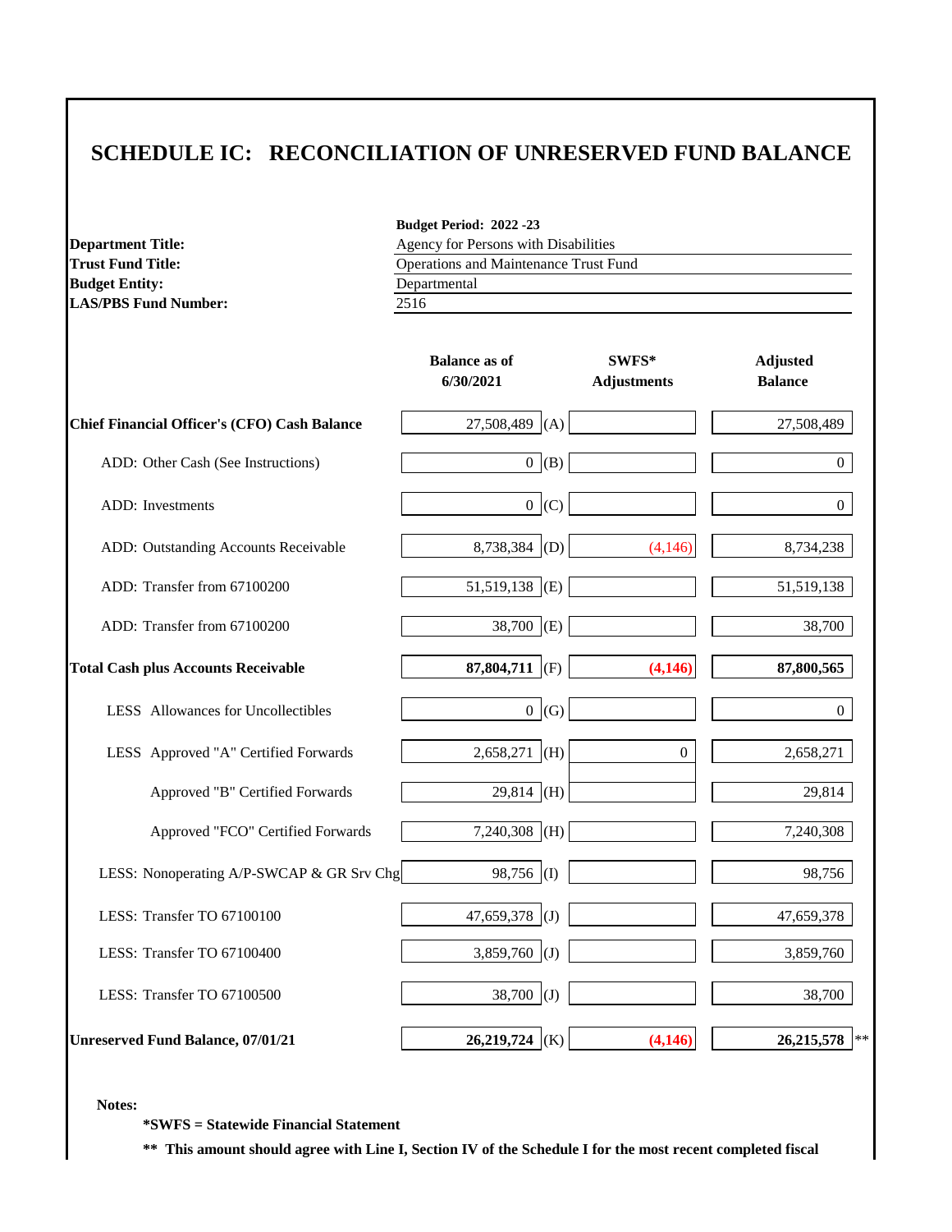| <b>Department Title:</b><br><b>Trust Fund Title:</b> | Budget Period: 2022 -23<br>Agency for Persons with Disabilities |                             |                                   |  |  |  |
|------------------------------------------------------|-----------------------------------------------------------------|-----------------------------|-----------------------------------|--|--|--|
|                                                      | Operations and Maintenance Trust Fund                           |                             |                                   |  |  |  |
| <b>Budget Entity:</b><br><b>LAS/PBS Fund Number:</b> | Departmental<br>2516                                            |                             |                                   |  |  |  |
|                                                      | <b>Balance as of</b><br>6/30/2021                               | SWFS*<br><b>Adjustments</b> | <b>Adjusted</b><br><b>Balance</b> |  |  |  |
| <b>Chief Financial Officer's (CFO) Cash Balance</b>  | 27,508,489<br>(A)                                               |                             | 27,508,489                        |  |  |  |
| ADD: Other Cash (See Instructions)                   | 0 (B)                                                           |                             | $\boldsymbol{0}$                  |  |  |  |
| ADD: Investments                                     | $\overline{0}$<br>(C)                                           |                             | $\overline{0}$                    |  |  |  |
| ADD: Outstanding Accounts Receivable                 | 8,738,384 (D)                                                   | (4, 146)                    | 8,734,238                         |  |  |  |
| ADD: Transfer from 67100200                          | $51,519,138$ (E)                                                |                             | 51,519,138                        |  |  |  |
| ADD: Transfer from 67100200                          | 38,700 (E)                                                      |                             | 38,700                            |  |  |  |
| <b>Total Cash plus Accounts Receivable</b>           | 87,804,711 (F)                                                  | (4,146)                     | 87,800,565                        |  |  |  |
| LESS Allowances for Uncollectibles                   | $\overline{0}$<br>(G)                                           |                             | $\Omega$                          |  |  |  |
| LESS Approved "A" Certified Forwards                 | $2,658,271$ (H)                                                 | $\boldsymbol{0}$            | 2,658,271                         |  |  |  |
| Approved "B" Certified Forwards                      | $29,814$ (H)                                                    |                             | 29,814                            |  |  |  |
| Approved "FCO" Certified Forwards                    | $7,240,308$ (H)                                                 |                             | 7,240,308                         |  |  |  |
| LESS: Nonoperating A/P-SWCAP & GR Srv Chg            | 98,756<br>(1)                                                   |                             | 98,756                            |  |  |  |
| LESS: Transfer TO 67100100                           | 47,659,378 (J)                                                  |                             | 47,659,378                        |  |  |  |
| LESS: Transfer TO 67100400                           | $3,859,760$ (J)                                                 |                             | 3,859,760                         |  |  |  |
| LESS: Transfer TO 67100500                           | $38,700$ (J)                                                    |                             | 38,700                            |  |  |  |
| <b>Unreserved Fund Balance, 07/01/21</b>             | $26,219,724$ (K)                                                | (4, 146)                    | 26,215,578<br>$**$                |  |  |  |

**Notes:**

**\*SWFS = Statewide Financial Statement** 

**\*\* This amount should agree with Line I, Section IV of the Schedule I for the most recent completed fiscal**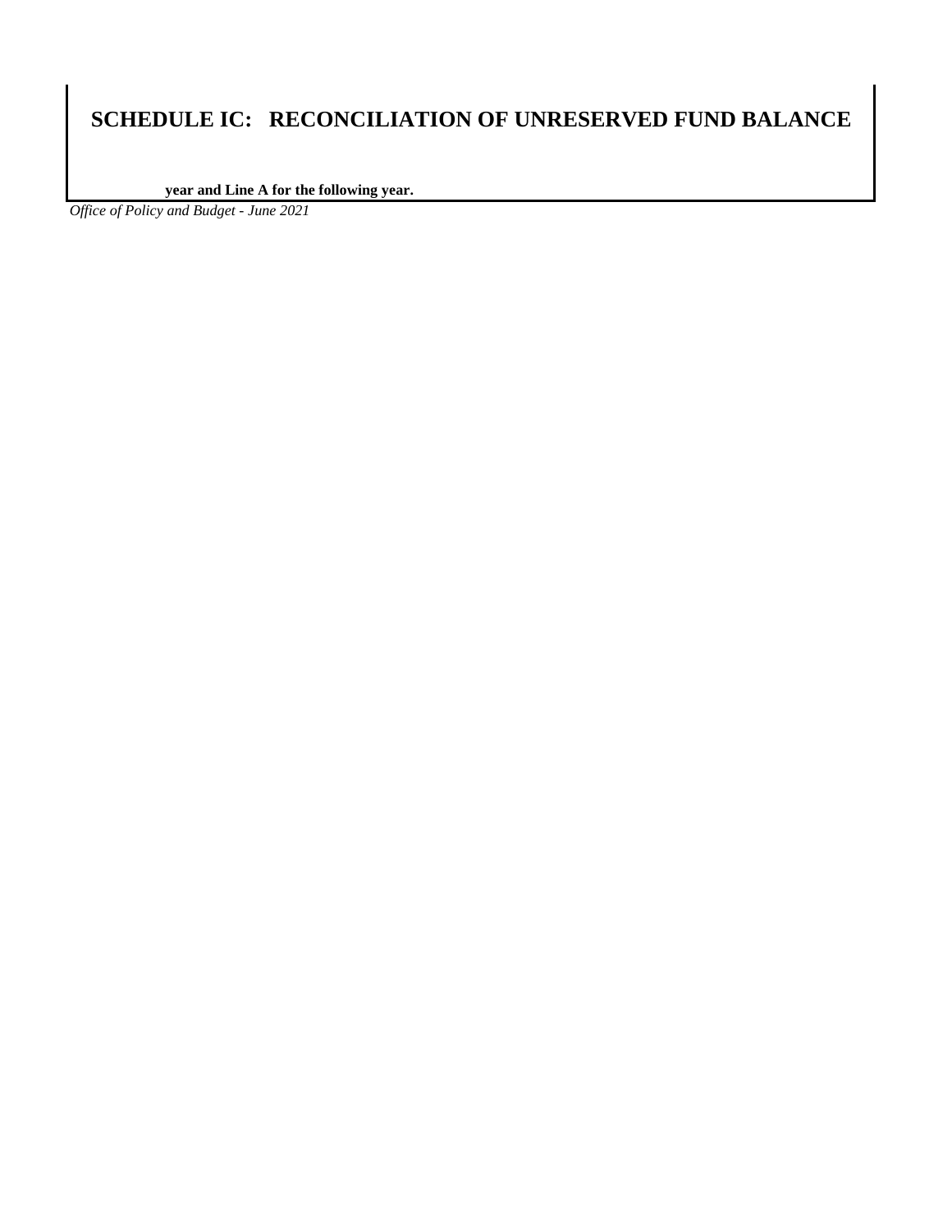**year and Line A for the following year.**

*Office of Policy and Budget - June 2021*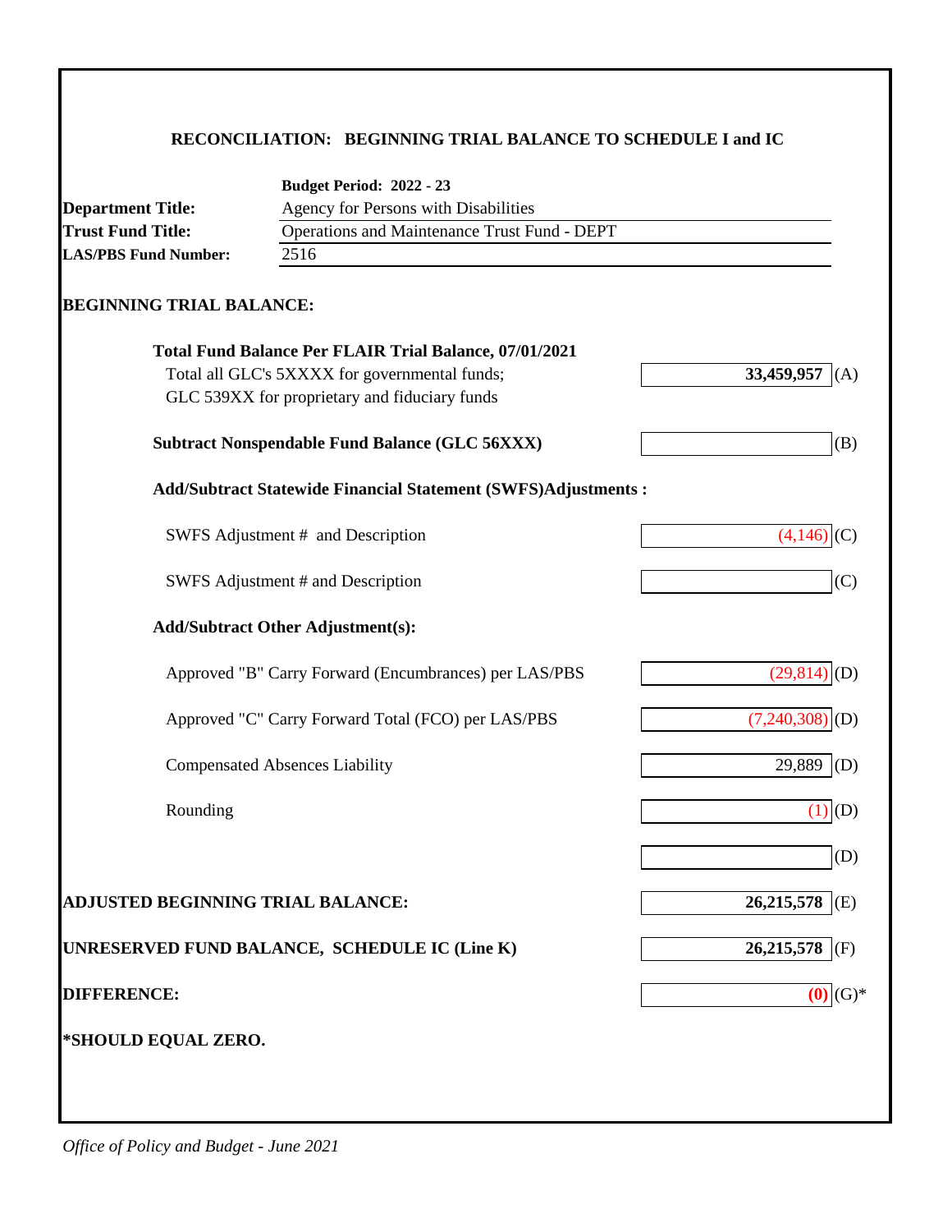# **RECONCILIATION: BEGINNING TRIAL BALANCE TO SCHEDULE I and IC**

|                                   | <b>Budget Period: 2022 - 23</b>                                      |                   |  |  |
|-----------------------------------|----------------------------------------------------------------------|-------------------|--|--|
| <b>Department Title:</b>          | Agency for Persons with Disabilities                                 |                   |  |  |
| <b>Trust Fund Title:</b>          | Operations and Maintenance Trust Fund - DEPT                         |                   |  |  |
| <b>LAS/PBS Fund Number:</b>       | 2516                                                                 |                   |  |  |
| <b>BEGINNING TRIAL BALANCE:</b>   |                                                                      |                   |  |  |
|                                   | Total Fund Balance Per FLAIR Trial Balance, 07/01/2021               |                   |  |  |
|                                   | Total all GLC's 5XXXX for governmental funds;                        | 33,459,957<br>(A) |  |  |
|                                   | GLC 539XX for proprietary and fiduciary funds                        |                   |  |  |
|                                   | <b>Subtract Nonspendable Fund Balance (GLC 56XXX)</b>                | (B)               |  |  |
|                                   | <b>Add/Subtract Statewide Financial Statement (SWFS)Adjustments:</b> |                   |  |  |
|                                   | SWFS Adjustment # and Description                                    | $(4,146)$ (C)     |  |  |
|                                   | SWFS Adjustment # and Description                                    | (C)               |  |  |
|                                   | <b>Add/Subtract Other Adjustment(s):</b>                             |                   |  |  |
|                                   | Approved "B" Carry Forward (Encumbrances) per LAS/PBS                | $(29,814)$ (D)    |  |  |
|                                   | Approved "C" Carry Forward Total (FCO) per LAS/PBS                   | $(7,240,308)$ (D) |  |  |
|                                   | <b>Compensated Absences Liability</b>                                | 29,889<br>(D)     |  |  |
| Rounding                          |                                                                      | $(1)$ $(D)$       |  |  |
|                                   |                                                                      | (D)               |  |  |
| ADJUSTED BEGINNING TRIAL BALANCE: |                                                                      | 26,215,578<br>(E) |  |  |
|                                   | UNRESERVED FUND BALANCE, SCHEDULE IC (Line K)                        | 26,215,578<br>(F) |  |  |
| <b>DIFFERENCE:</b>                |                                                                      | $(0)$ $(G)*$      |  |  |
| *SHOULD EQUAL ZERO.               |                                                                      |                   |  |  |
|                                   |                                                                      |                   |  |  |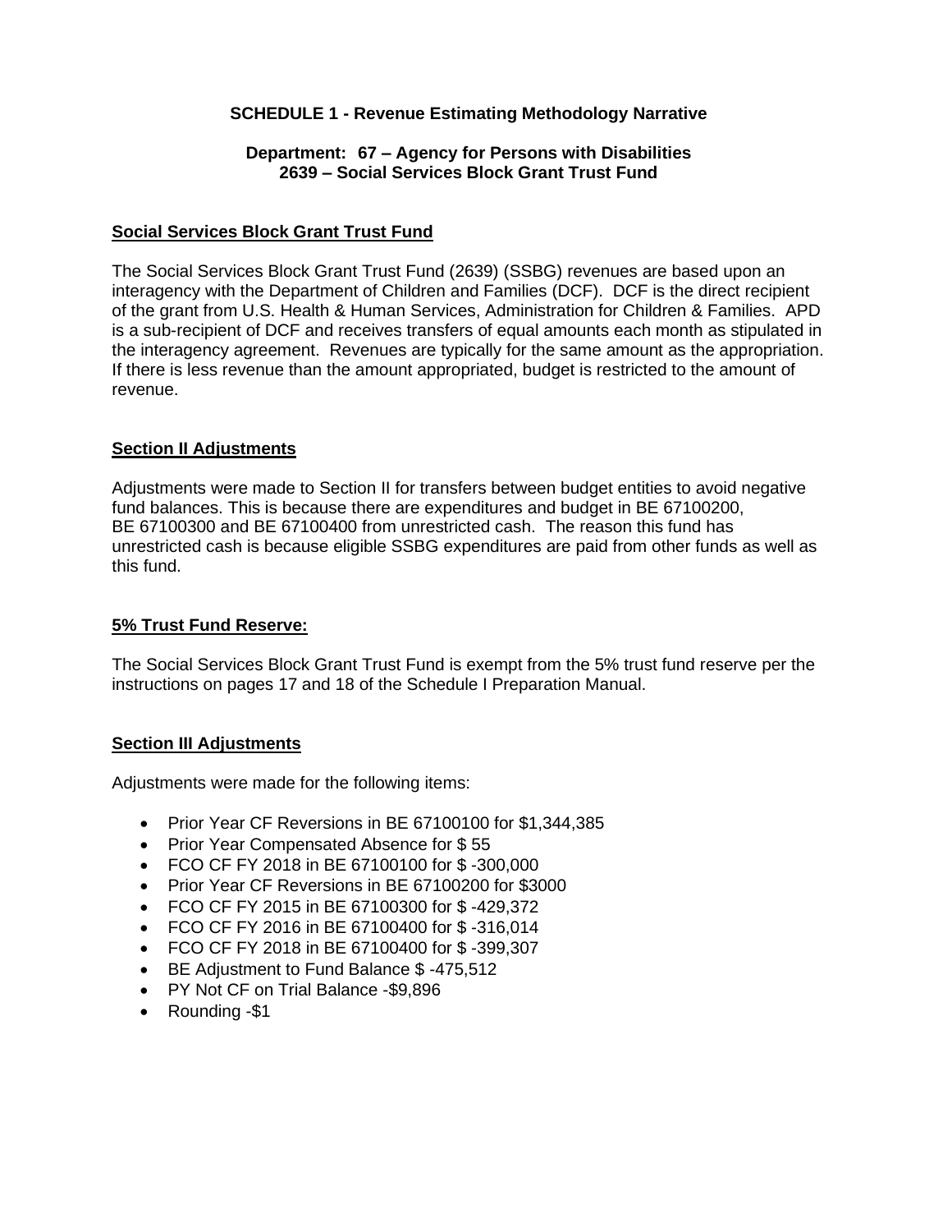#### **SCHEDULE 1 - Revenue Estimating Methodology Narrative**

#### **Department: 67 – Agency for Persons with Disabilities 2639 – Social Services Block Grant Trust Fund**

#### **Social Services Block Grant Trust Fund**

The Social Services Block Grant Trust Fund (2639) (SSBG) revenues are based upon an interagency with the Department of Children and Families (DCF). DCF is the direct recipient of the grant from U.S. Health & Human Services, Administration for Children & Families. APD is a sub-recipient of DCF and receives transfers of equal amounts each month as stipulated in the interagency agreement. Revenues are typically for the same amount as the appropriation. If there is less revenue than the amount appropriated, budget is restricted to the amount of revenue.

#### **Section II Adjustments**

Adjustments were made to Section II for transfers between budget entities to avoid negative fund balances. This is because there are expenditures and budget in BE 67100200, BE 67100300 and BE 67100400 from unrestricted cash. The reason this fund has unrestricted cash is because eligible SSBG expenditures are paid from other funds as well as this fund.

#### **5% Trust Fund Reserve:**

The Social Services Block Grant Trust Fund is exempt from the 5% trust fund reserve per the instructions on pages 17 and 18 of the Schedule I Preparation Manual.

#### **Section III Adjustments**

Adjustments were made for the following items:

- Prior Year CF Reversions in BE 67100100 for \$1,344,385
- Prior Year Compensated Absence for \$55
- FCO CF FY 2018 in BE 67100100 for \$ -300,000
- Prior Year CF Reversions in BE 67100200 for \$3000
- FCO CF FY 2015 in BE 67100300 for \$ -429,372
- FCO CF FY 2016 in BE 67100400 for \$ -316,014
- FCO CF FY 2018 in BE 67100400 for \$ -399,307
- BE Adjustment to Fund Balance \$ -475,512
- PY Not CF on Trial Balance -\$9,896
- Rounding -\$1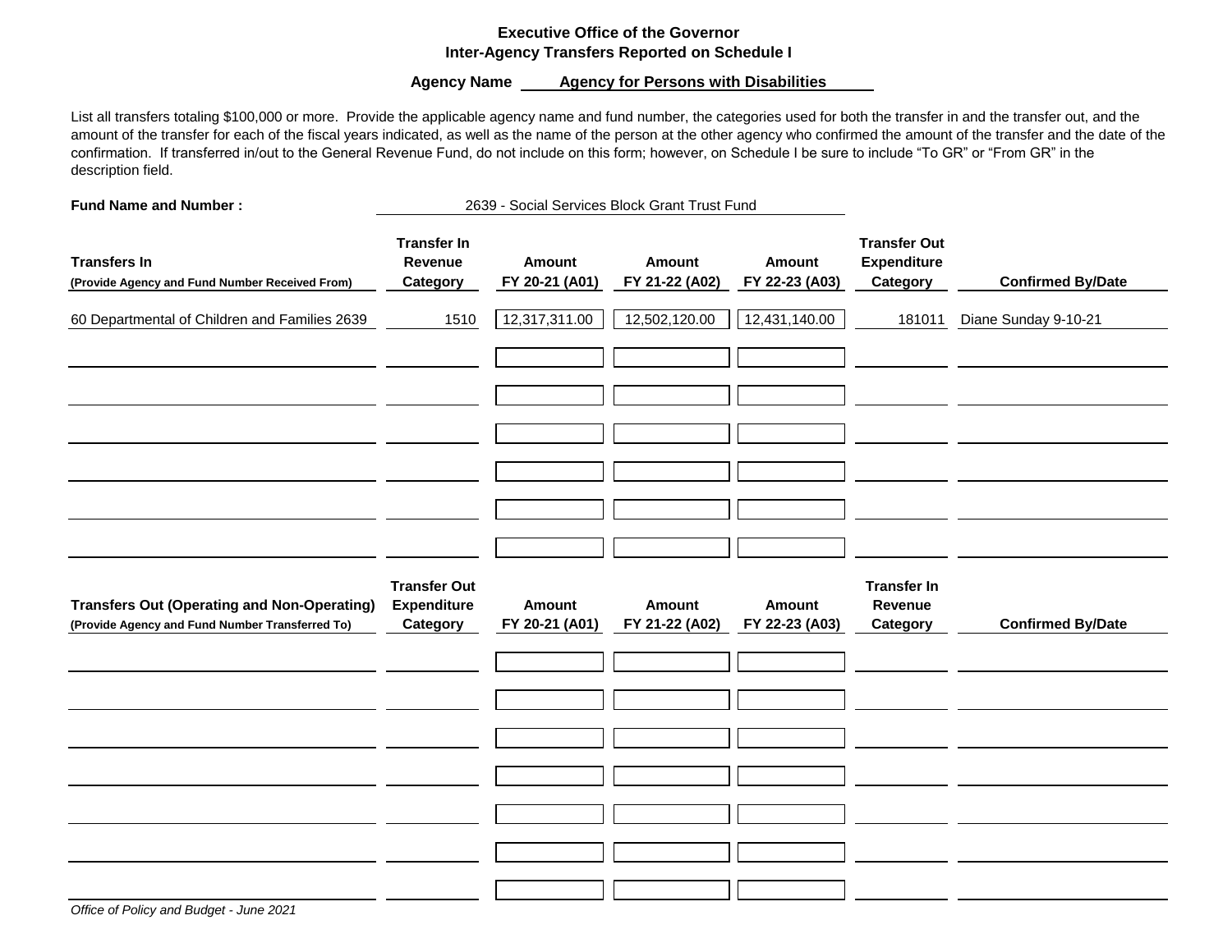#### **Executive Office of the Governor Inter-Agency Transfers Reported on Schedule I**

Agency Name **Agency for Persons with Disabilities** 

List all transfers totaling \$100,000 or more. Provide the applicable agency name and fund number, the categories used for both the transfer in and the transfer out, and the amount of the transfer for each of the fiscal years indicated, as well as the name of the person at the other agency who confirmed the amount of the transfer and the date of the confirmation. If transferred in/out to the General Revenue Fund, do not include on this form; however, on Schedule I be sure to include "To GR" or "From GR" in the description field.

**Fund Name and Number :**

2639 - Social Services Block Grant Trust Fund

| <b>Transfers In</b><br>(Provide Agency and Fund Number Received From) | <b>Transfer In</b><br>Revenue<br>Category | Amount<br>FY 20-21 (A01) | Amount<br>FY 21-22 (A02) | <b>Amount</b><br>FY 22-23 (A03) | <b>Transfer Out</b><br><b>Expenditure</b><br>Category | <b>Confirmed By/Date</b> |
|-----------------------------------------------------------------------|-------------------------------------------|--------------------------|--------------------------|---------------------------------|-------------------------------------------------------|--------------------------|
| 60 Departmental of Children and Families 2639                         | 1510                                      | 12,317,311.00            | 12,502,120.00            | 12,431,140.00                   | 181011                                                | Diane Sunday 9-10-21     |
|                                                                       |                                           |                          |                          |                                 |                                                       |                          |
|                                                                       |                                           |                          |                          |                                 |                                                       |                          |
|                                                                       |                                           |                          |                          |                                 |                                                       |                          |
|                                                                       |                                           |                          |                          |                                 |                                                       |                          |
| <b>Transfers Out (Operating and Non-Operating)</b>                    | <b>Transfer Out</b><br><b>Expenditure</b> | Amount                   | Amount                   | <b>Amount</b>                   | <b>Transfer In</b><br>Revenue                         | <b>Confirmed By/Date</b> |
| (Provide Agency and Fund Number Transferred To)                       | Category                                  | FY 20-21 (A01)           | FY 21-22 (A02)           | FY 22-23 (A03)                  | Category                                              |                          |
|                                                                       |                                           |                          |                          |                                 |                                                       |                          |
|                                                                       |                                           |                          |                          |                                 |                                                       |                          |
|                                                                       |                                           |                          |                          |                                 |                                                       |                          |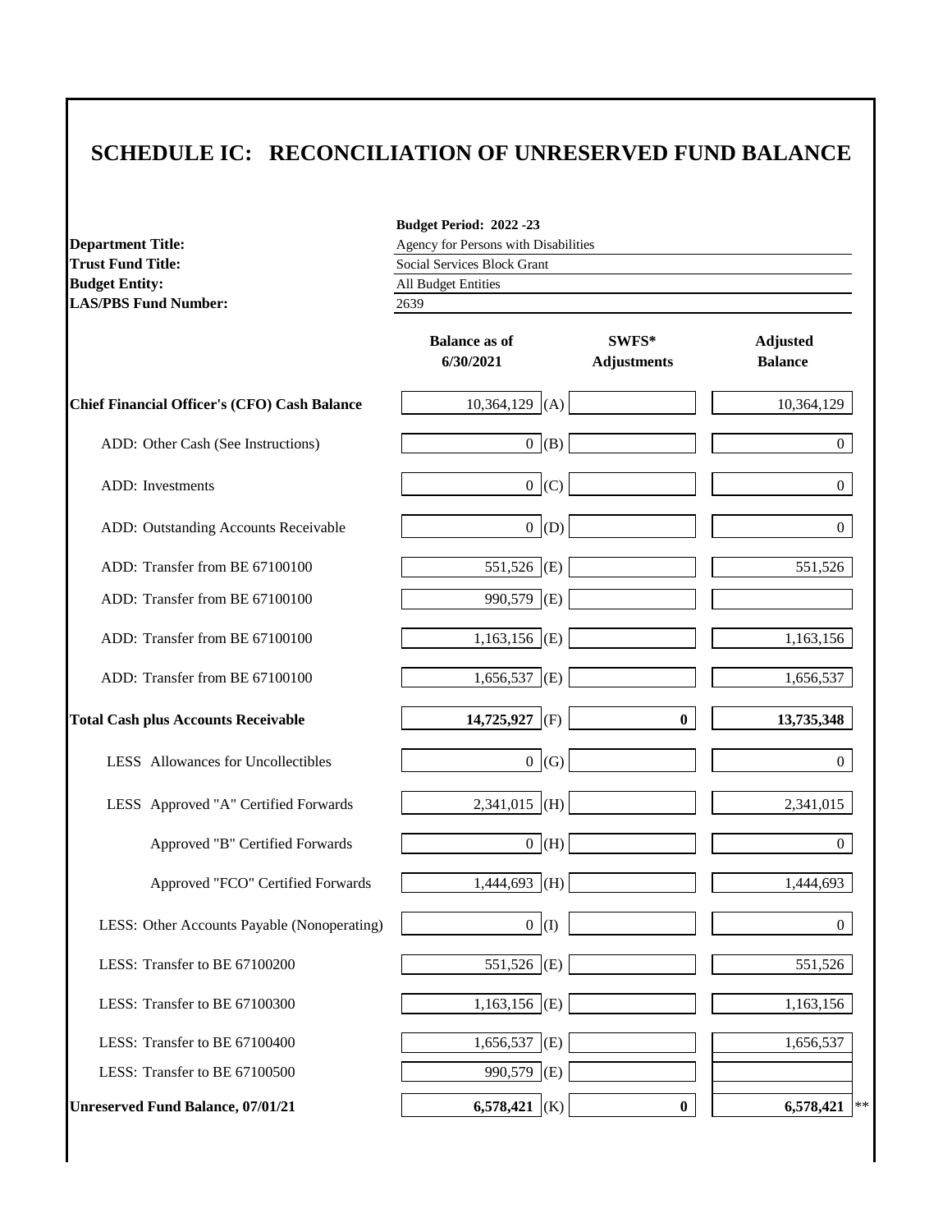| <b>Department Title:</b>                     | Budget Period: 2022-23<br>Agency for Persons with Disabilities |                             |                                   |  |  |  |
|----------------------------------------------|----------------------------------------------------------------|-----------------------------|-----------------------------------|--|--|--|
| <b>Trust Fund Title:</b>                     | Social Services Block Grant                                    |                             |                                   |  |  |  |
| <b>Budget Entity:</b>                        | All Budget Entities                                            |                             |                                   |  |  |  |
| <b>LAS/PBS Fund Number:</b>                  | 2639                                                           |                             |                                   |  |  |  |
|                                              | <b>Balance as of</b><br>6/30/2021                              | SWFS*<br><b>Adjustments</b> | <b>Adjusted</b><br><b>Balance</b> |  |  |  |
| Chief Financial Officer's (CFO) Cash Balance | 10,364,129<br>(A)                                              |                             | 10,364,129                        |  |  |  |
| ADD: Other Cash (See Instructions)           | 0 (B)                                                          |                             | $\theta$                          |  |  |  |
| ADD: Investments                             | 0 (C)                                                          |                             | 0                                 |  |  |  |
| ADD: Outstanding Accounts Receivable         | 0  (D)                                                         |                             | 0                                 |  |  |  |
| ADD: Transfer from BE 67100100               | 551,526 (E)                                                    |                             | 551,526                           |  |  |  |
| ADD: Transfer from BE 67100100               | 990,579<br>(E)                                                 |                             |                                   |  |  |  |
| ADD: Transfer from BE 67100100               | $1,163,156$ (E)                                                |                             | 1,163,156                         |  |  |  |
| ADD: Transfer from BE 67100100               | $1,656,537$ (E)                                                |                             | 1,656,537                         |  |  |  |
| <b>Total Cash plus Accounts Receivable</b>   | 14,725,927<br>(F)                                              | $\bf{0}$                    | 13,735,348                        |  |  |  |
| LESS Allowances for Uncollectibles           | 0 (G)                                                          |                             | 0                                 |  |  |  |
| LESS Approved "A" Certified Forwards         | $2,341,015$ (H)                                                |                             | 2,341,015                         |  |  |  |
| Approved "B" Certified Forwards              | $0$ (H)                                                        |                             | $\overline{0}$                    |  |  |  |
| Approved "FCO" Certified Forwards            | 1,444,693<br>(H)                                               |                             | 1,444,693                         |  |  |  |
| LESS: Other Accounts Payable (Nonoperating)  | 0(1)                                                           |                             | $\boldsymbol{0}$                  |  |  |  |
| LESS: Transfer to BE 67100200                | 551,526 (E)                                                    |                             | 551,526                           |  |  |  |
| LESS: Transfer to BE 67100300                | $1,163,156$ (E)                                                |                             | 1,163,156                         |  |  |  |
| LESS: Transfer to BE 67100400                | 1,656,537 (E)                                                  |                             | 1,656,537                         |  |  |  |
| LESS: Transfer to BE 67100500                | 990,579<br>(E)                                                 |                             |                                   |  |  |  |
| <b>Unreserved Fund Balance, 07/01/21</b>     | 6,578,421 (K)                                                  | $\boldsymbol{0}$            | 6,578,421<br>**                   |  |  |  |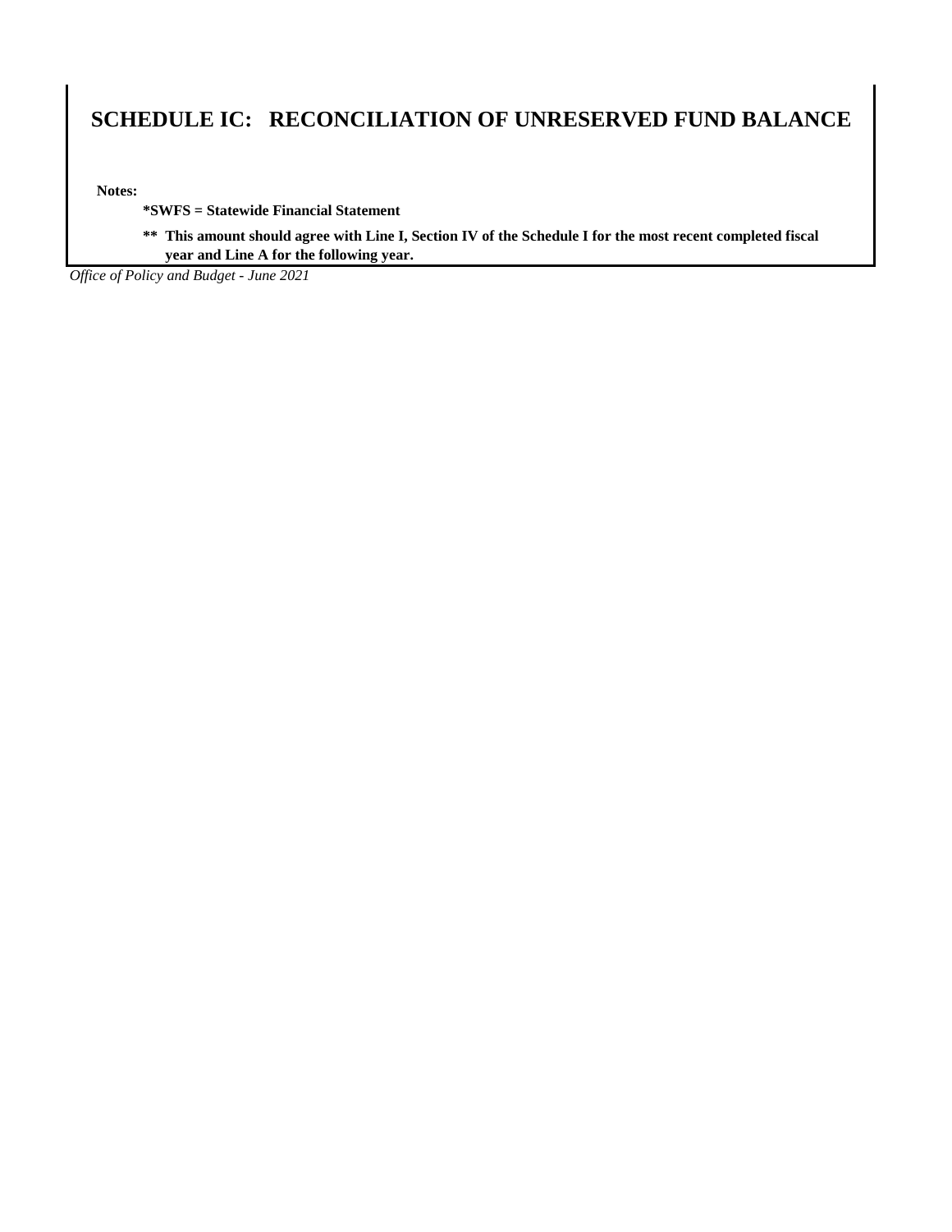**Notes:**

**\*SWFS = Statewide Financial Statement** 

**\*\* This amount should agree with Line I, Section IV of the Schedule I for the most recent completed fiscal year and Line A for the following year.**

*Office of Policy and Budget - June 2021*